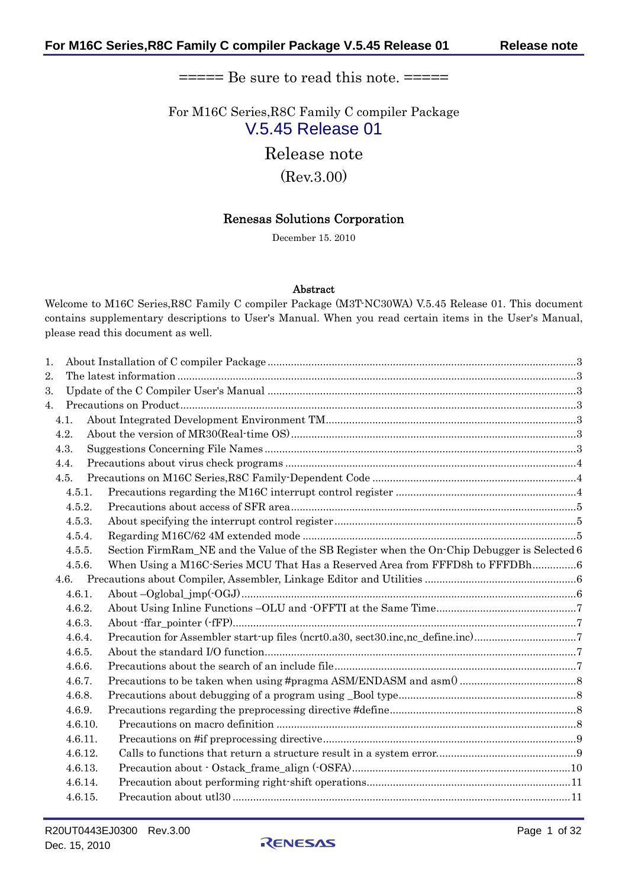# $====$  Be sure to read this note.  $====$

For M16C Series,R8C Family C compiler Package V.5.45 Release 01

Release note

(Rev.3.00)

# Renesas Solutions Corporation

December 15. 2010

### Abstract

Welcome to M16C Series,R8C Family C compiler Package (M3T-NC30WA) V.5.45 Release 01. This document contains supplementary descriptions to User's Manual. When you read certain items in the User's Manual, please read this document as well.

| 1.      |                                                                                             |  |
|---------|---------------------------------------------------------------------------------------------|--|
| 2.      |                                                                                             |  |
| 3.      |                                                                                             |  |
| 4.      |                                                                                             |  |
| 4.1.    |                                                                                             |  |
| 4.2.    |                                                                                             |  |
| 4.3.    |                                                                                             |  |
| 4.4.    |                                                                                             |  |
| 4.5.    |                                                                                             |  |
| 4.5.1.  |                                                                                             |  |
| 4.5.2.  |                                                                                             |  |
| 4.5.3.  |                                                                                             |  |
| 4.5.4.  |                                                                                             |  |
| 4.5.5.  | Section FirmRam_NE and the Value of the SB Register when the On-Chip Debugger is Selected 6 |  |
| 4.5.6.  | When Using a M16C Series MCU That Has a Reserved Area from FFFD8h to FFFDBh6                |  |
|         |                                                                                             |  |
| 4.6.1.  |                                                                                             |  |
| 4.6.2.  |                                                                                             |  |
| 4.6.3.  |                                                                                             |  |
| 4.6.4.  | Precaution for Assembler start up files (ncrt0.a30, sect30.inc,nc_define.inc)7              |  |
| 4.6.5.  |                                                                                             |  |
| 4.6.6.  |                                                                                             |  |
| 4.6.7.  |                                                                                             |  |
| 4.6.8.  |                                                                                             |  |
| 4.6.9.  |                                                                                             |  |
| 4.6.10. |                                                                                             |  |
| 4.6.11. |                                                                                             |  |
| 4.6.12. |                                                                                             |  |
| 4.6.13. |                                                                                             |  |
| 4.6.14. |                                                                                             |  |
| 4.6.15. |                                                                                             |  |
|         |                                                                                             |  |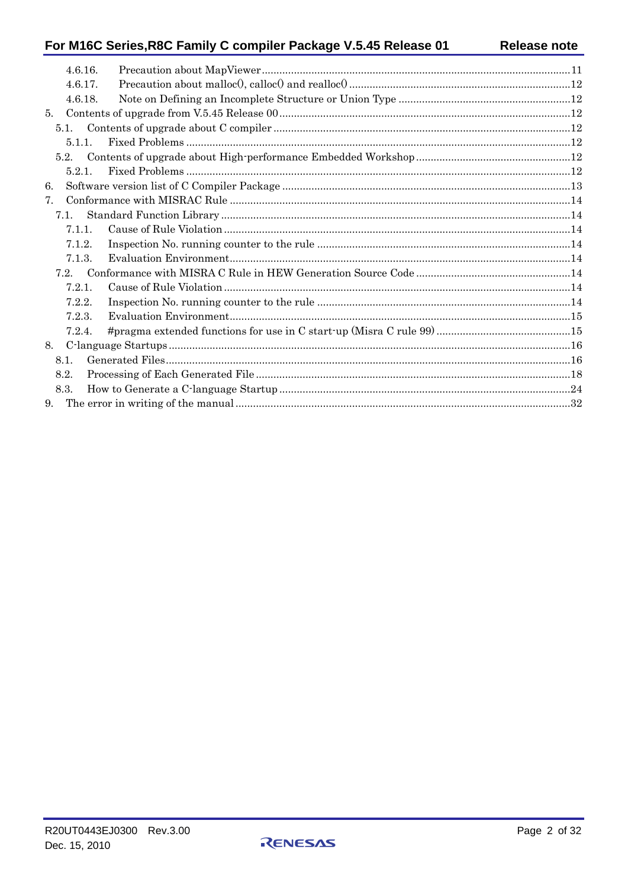# For M16C Series, R8C Family C compiler Package V.5.45 Release 01

|                                | 4.6.16. |  |
|--------------------------------|---------|--|
|                                | 4.6.17. |  |
|                                | 4.6.18. |  |
| 5.                             |         |  |
| 5.1.                           |         |  |
|                                | 5.1.1   |  |
|                                |         |  |
|                                | 5.2.1   |  |
| 6.                             |         |  |
| $7_{\scriptscriptstyle{\sim}}$ |         |  |
| 7.1.                           |         |  |
|                                | 7.1.1.  |  |
|                                | 7.1.2.  |  |
|                                | 7.1.3.  |  |
| 7.2.                           |         |  |
|                                | 7.2.1.  |  |
|                                | 7.2.2.  |  |
|                                | 7.2.3.  |  |
|                                | 7.2.4.  |  |
|                                |         |  |
| 8.1.                           |         |  |
| 8.2.                           |         |  |
| 8.3.                           |         |  |
| 9.                             |         |  |
|                                |         |  |

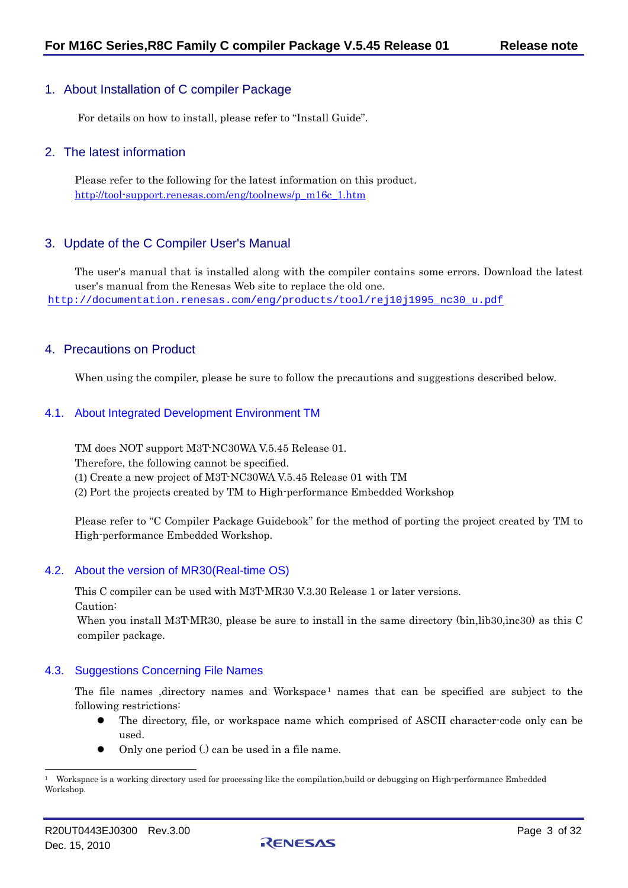# <span id="page-2-0"></span>1. About Installation of C compiler Package

For details on how to install, please refer to "Install Guide".

## <span id="page-2-1"></span>2. The latest information

Please refer to the following for the latest information on this product. [http://tool-support.renesas.com/eng/toolnews/p\\_m16c\\_1.htm](http://tool-support.renesas.com/eng/toolnews/p_m16c_1.htm)

# <span id="page-2-2"></span>3. Update of the C Compiler User's Manual

The user's manual that is installed along with the compiler contains some errors. Download the latest user's manual from the Renesas Web site to replace the old one. [http://documentation.renesas.com/eng/products/tool/rej10j1995\\_nc30\\_u.pdf](http://documentation.renesas.com/eng/products/tool/rej10j1995_nc30_u.pdf)

# <span id="page-2-3"></span>4. Precautions on Product

When using the compiler, please be sure to follow the precautions and suggestions described below.

### <span id="page-2-4"></span>4.1. About Integrated Development Environment TM

TM does NOT support M3T-NC30WA V.5.45 Release 01.

Therefore, the following cannot be specified.

(1) Create a new project of M3T-NC30WA V.5.45 Release 01 with TM

(2) Port the projects created by TM to High-performance Embedded Workshop

Please refer to "C Compiler Package Guidebook" for the method of porting the project created by TM to High-performance Embedded Workshop.

# <span id="page-2-5"></span>4.2. About the version of MR30(Real-time OS)

This C compiler can be used with M3T-MR30 V.3.30 Release 1 or later versions. Caution:

When you install M3T-MR30, please be sure to install in the same directory (bin,lib30,inc30) as this C compiler package.

#### <span id="page-2-6"></span>4.3. Suggestions Concerning File Names

The file names ,directory names and Workspace<sup>[1](#page-2-7)</sup> names that can be specified are subject to the following restrictions:

- The directory, file, or workspace name which comprised of ASCII character-code only can be used.
- Only one period (.) can be used in a file name.

l

<span id="page-2-7"></span><sup>1</sup> Workspace is a working directory used for processing like the compilation,build or debugging on High-performance Embedded Workshop.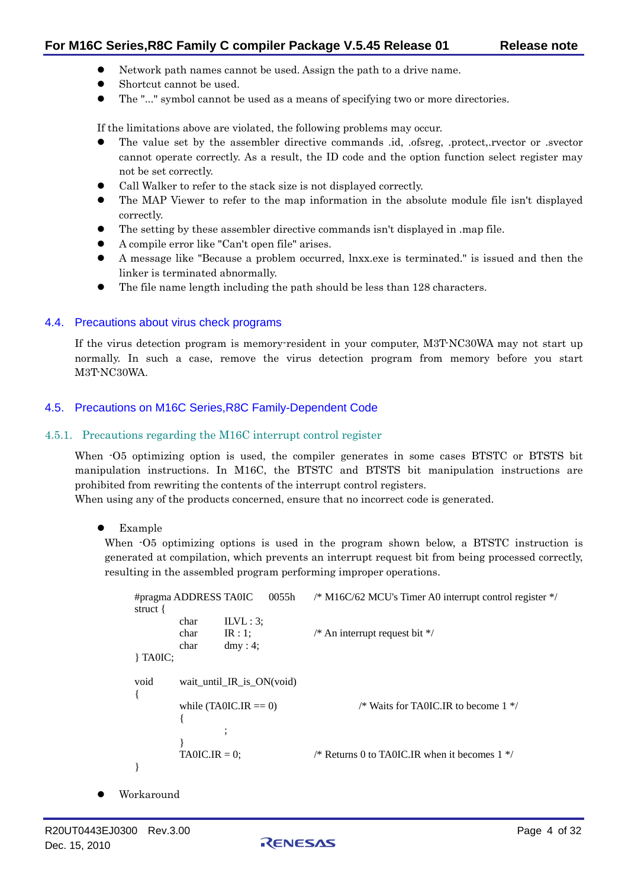- Network path names cannot be used. Assign the path to a drive name.
- Shortcut cannot be used.
- The "..." symbol cannot be used as a means of specifying two or more directories.

If the limitations above are violated, the following problems may occur.

- z The value set by the assembler directive commands .id, .ofsreg, .protect,.rvector or .svector cannot operate correctly. As a result, the ID code and the option function select register may not be set correctly.
- Call Walker to refer to the stack size is not displayed correctly.
- The MAP Viewer to refer to the map information in the absolute module file isn't displayed correctly.
- The setting by these assembler directive commands isn't displayed in .map file.
- z A compile error like "Can't open file" arises.
- z A message like "Because a problem occurred, lnxx.exe is terminated." is issued and then the linker is terminated abnormally.
- The file name length including the path should be less than 128 characters.

# <span id="page-3-0"></span>4.4. Precautions about virus check programs

If the virus detection program is memory-resident in your computer, M3T-NC30WA may not start up normally. In such a case, remove the virus detection program from memory before you start M3T-NC30WA.

# <span id="page-3-1"></span>4.5. Precautions on M16C Series,R8C Family-Dependent Code

#### <span id="page-3-2"></span>4.5.1. Precautions regarding the M16C interrupt control register

When  $-05$  optimizing option is used, the compiler generates in some cases BTSTC or BTSTS bit manipulation instructions. In M16C, the BTSTC and BTSTS bit manipulation instructions are prohibited from rewriting the contents of the interrupt control registers.

When using any of the products concerned, ensure that no incorrect code is generated.

Example

When  $-05$  optimizing options is used in the program shown below, a BTSTC instruction is generated at compilation, which prevents an interrupt request bit from being processed correctly, resulting in the assembled program performing improper operations.

```
#pragma ADDRESS TA0IC 0055h /* M16C/62 MCU's Timer A0 interrupt control register */ 
struct { 
         char ILVL : 3;
        char IR : 1; / An interrupt request bit */char dmy : 4;
} TA0IC; 
void wait_until_IR_is_ON(void) 
\left\{ \right.while (TA0IC.IR  == 0) /* Waits for TA0IC.IR to become 1 */
         { 
                  ; 
         } 
        TA0IC.IR = 0; \angle /* Returns 0 to TA0IC.IR when it becomes 1 */
}
```
Workaround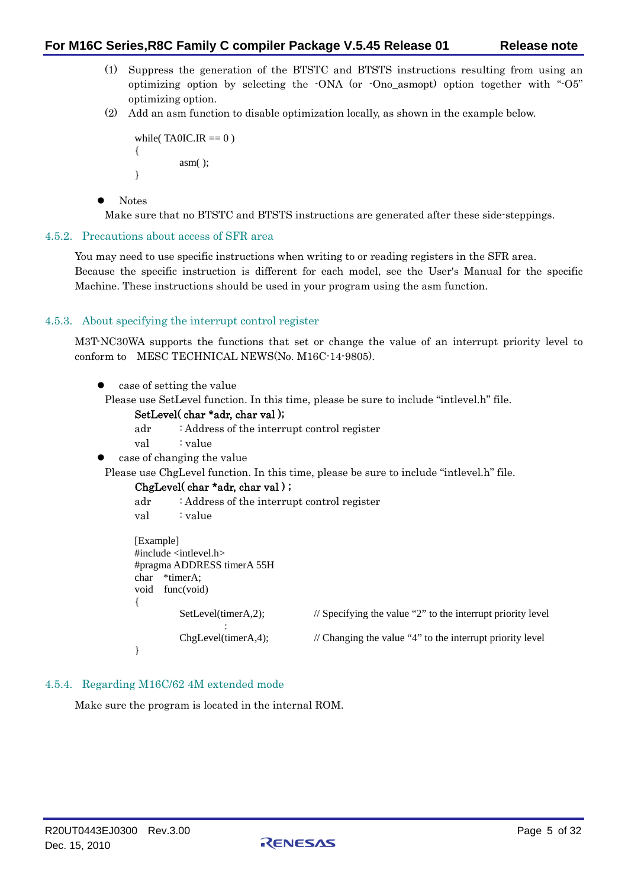- (1) Suppress the generation of the BTSTC and BTSTS instructions resulting from using an optimizing option by selecting the -ONA (or -Ono\_asmopt) option together with "-O5" optimizing option.
- (2) Add an asm function to disable optimization locally, as shown in the example below.

```
while(TAOIC.IR == 0)
{ 
          asm( ); 
}
```
 $\bullet$  Notes

Make sure that no BTSTC and BTSTS instructions are generated after these side-steppings.

### <span id="page-4-0"></span>4.5.2. Precautions about access of SFR area

You may need to use specific instructions when writing to or reading registers in the SFR area. Because the specific instruction is different for each model, see the User's Manual for the specific Machine. These instructions should be used in your program using the asm function.

# <span id="page-4-1"></span>4.5.3. About specifying the interrupt control register

M3T-NC30WA supports the functions that set or change the value of an interrupt priority level to conform to MESC TECHNICAL NEWS(No. M16C-14-9805).

```
case of setting the value
```
Please use SetLevel function. In this time, please be sure to include "intlevel.h" file.

#### SetLevel( char \*adr, char val );

adr : Address of the interrupt control register

- val : value
- case of changing the value

Please use ChgLevel function. In this time, please be sure to include "intlevel.h" file.

#### ChgLevel( char \*adr, char val ) ;

```
adr : Address of the interrupt control register 
val : value
[Example] 
#include <intlevel.h> 
#pragma ADDRESS timerA 55H 
char *timerA:
void func(void) 
{ 
            SetLevel(timerA,2); // Specifying the value "2" to the interrupt priority level
: 1999 - 1999 - 1999 - 1999 - 1999 - 1999 - 1999 - 1999 - 1999 - 1999 - 1999 - 1999 - 1999 - 1999 - 1999 - 199
            ChgLevel(timerA,4); \frac{1}{2} // Changing the value "4" to the interrupt priority level
}
```
#### <span id="page-4-2"></span>4.5.4. Regarding M16C/62 4M extended mode

Make sure the program is located in the internal ROM.

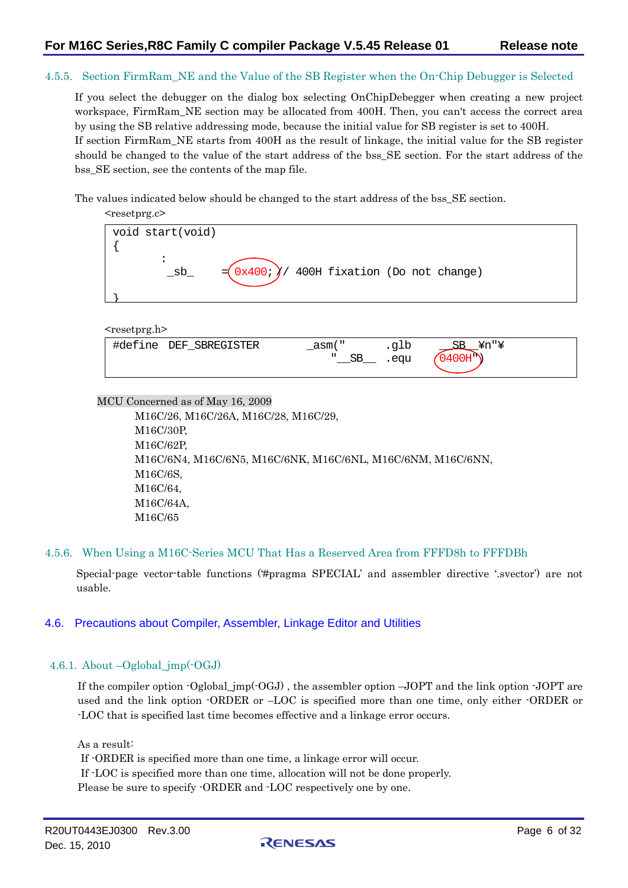#### <span id="page-5-0"></span>4.5.5. Section FirmRam\_NE and the Value of the SB Register when the On-Chip Debugger is Selected

If you select the debugger on the dialog box selecting OnChipDebegger when creating a new project workspace, FirmRam NE section may be allocated from 400H. Then, you can't access the correct area by using the SB relative addressing mode, because the initial value for SB register is set to 400H. If section FirmRam\_NE starts from 400H as the result of linkage, the initial value for the SB register should be changed to the value of the start address of the bss\_SE section. For the start address of the bss SE section, see the contents of the map file.

The values indicated below should be changed to the start address of the bss\_SE section.

| <resetprg.c></resetprg.c>                                  |  |
|------------------------------------------------------------|--|
| void start(void)                                           |  |
|                                                            |  |
|                                                            |  |
| $=(0x400; )$ 400H fixation (Do not change)<br>$\_$ sb $\_$ |  |
|                                                            |  |
|                                                            |  |

<resetprg.h>

| $\sim$ 1<br>SBREGISTER<br>DEF<br>#define<br>— | asm          | ىدە  | Yn∥Y<br>ᆂᆂᆂ |
|-----------------------------------------------|--------------|------|-------------|
|                                               | п<br>∼<br>ىر | .eau | ٬∩µ"        |
|                                               |              |      |             |

MCU Concerned as of May 16, 2009

M16C/26, M16C/26A, M16C/28, M16C/29, M16C/30P, M16C/62P, M16C/6N4, M16C/6N5, M16C/6NK, M16C/6NL, M16C/6NM, M16C/6NN, M16C/6S, M16C/64, M16C/64A, M16C/65

#### <span id="page-5-1"></span>4.5.6. When Using a M16C-Series MCU That Has a Reserved Area from FFFD8h to FFFDBh

Special-page vector-table functions ('#pragma SPECIAL' and assembler directive '.svector') are not usable.

#### <span id="page-5-2"></span>4.6. Precautions about Compiler, Assembler, Linkage Editor and Utilities

<span id="page-5-3"></span>4.6.1. About –Oglobal\_jmp(-OGJ)

If the compiler option  $-Oglobal\ imp(-OGJ)$ , the assembler option  $-JOPT$  and the link option  $-JOPT$  are used and the link option -ORDER or –LOC is specified more than one time, only either -ORDER or -LOC that is specified last time becomes effective and a linkage error occurs.

As a result:

If -ORDER is specified more than one time, a linkage error will occur.

If -LOC is specified more than one time, allocation will not be done properly.

Please be sure to specify  $\cdot$ ORDER and  $\cdot$ LOC respectively one by one.

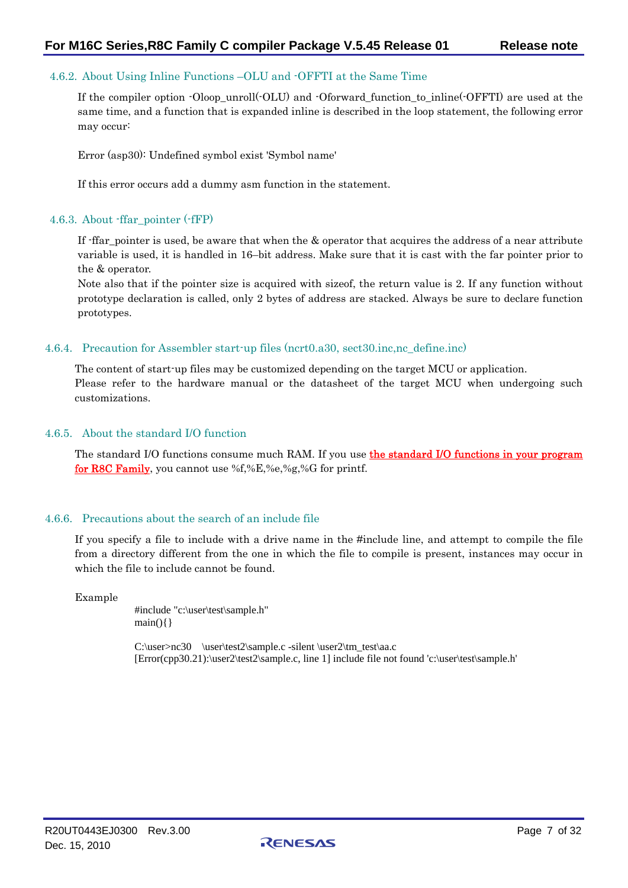## <span id="page-6-0"></span>4.6.2. About Using Inline Functions –OLU and -OFFTI at the Same Time

If the compiler option -Oloop\_unroll(-OLU) and -Oforward function to inline(-OFFTI) are used at the same time, and a function that is expanded inline is described in the loop statement, the following error may occur:

Error (asp30): Undefined symbol exist 'Symbol name'

If this error occurs add a dummy asm function in the statement.

#### <span id="page-6-1"></span>4.6.3. About -ffar\_pointer (-fFP)

If -ffar\_pointer is used, be aware that when the & operator that acquires the address of a near attribute variable is used, it is handled in 16–bit address. Make sure that it is cast with the far pointer prior to the & operator.

Note also that if the pointer size is acquired with sizeof, the return value is 2. If any function without prototype declaration is called, only 2 bytes of address are stacked. Always be sure to declare function prototypes.

#### <span id="page-6-2"></span>4.6.4. Precaution for Assembler start-up files (ncrt0.a30, sect30.inc,nc\_define.inc)

The content of start-up files may be customized depending on the target MCU or application. Please refer to the hardware manual or the datasheet of the target MCU when undergoing such customizations.

#### <span id="page-6-3"></span>4.6.5. About the standard I/O function

The standard I/O functions consume much RAM. If you use *the standard I/O functions in your program* for R8C Family, you cannot use %f,%E,%e,%g,%G for printf.

#### <span id="page-6-4"></span>4.6.6. Precautions about the search of an include file

If you specify a file to include with a drive name in the #include line, and attempt to compile the file from a directory different from the one in which the file to compile is present, instances may occur in which the file to include cannot be found.

Example

#include "c:\user\test\sample.h"  $main()$ 

C:\user>nc30 \user\test2\sample.c -silent \user2\tm\_test\aa.c [Error(cpp30.21):\user2\test2\sample.c, line 1] include file not found 'c:\user\test\sample.h'

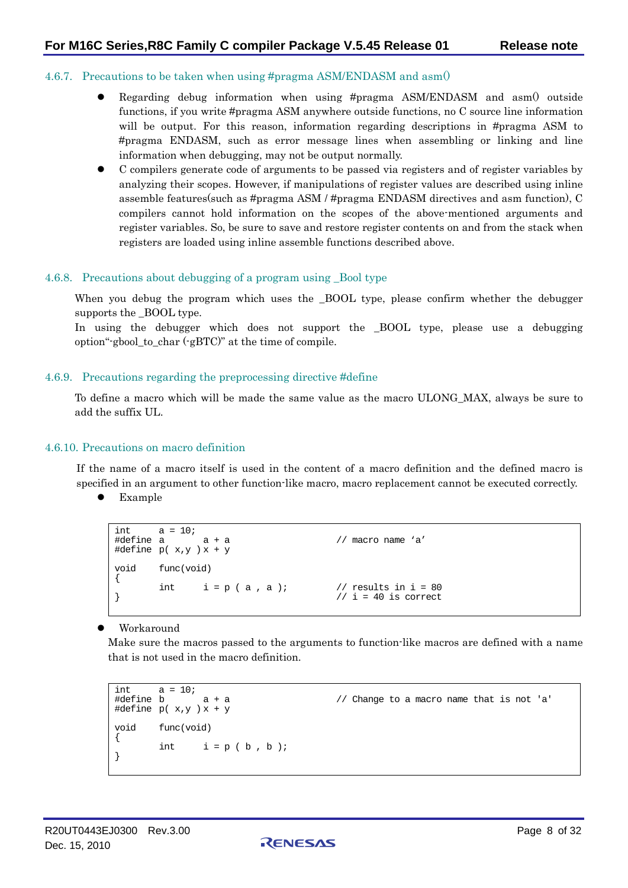#### <span id="page-7-0"></span>4.6.7. Precautions to be taken when using #pragma ASM/ENDASM and asm()

- Regarding debug information when using  $#pragma$  ASM/ENDASM and asm $()$  outside functions, if you write #pragma ASM anywhere outside functions, no C source line information will be output. For this reason, information regarding descriptions in #pragma ASM to #pragma ENDASM, such as error message lines when assembling or linking and line information when debugging, may not be output normally.
- z C compilers generate code of arguments to be passed via registers and of register variables by analyzing their scopes. However, if manipulations of register values are described using inline assemble features(such as #pragma ASM / #pragma ENDASM directives and asm function), C compilers cannot hold information on the scopes of the above-mentioned arguments and register variables. So, be sure to save and restore register contents on and from the stack when registers are loaded using inline assemble functions described above.

#### <span id="page-7-1"></span>4.6.8. Precautions about debugging of a program using \_Bool type

When you debug the program which uses the BOOL type, please confirm whether the debugger supports the \_BOOL type.

In using the debugger which does not support the \_BOOL type, please use a debugging option"-gbool\_to\_char (-gBTC)" at the time of compile.

#### <span id="page-7-2"></span>4.6.9. Precautions regarding the preprocessing directive #define

To define a macro which will be made the same value as the macro ULONG\_MAX, always be sure to add the suffix UL.

#### <span id="page-7-3"></span>4.6.10. Precautions on macro definition

If the name of a macro itself is used in the content of a macro definition and the defined macro is specified in an argument to other function-like macro, macro replacement cannot be executed correctly.

 $\bullet$  Example

```
int a = 10;<br>#define a
              a + a // macro name 'a'
#define p(x,y) x + yvoid func(void) 
{ 
int i = p (a, a); \frac{1}{i} = 40 is correct
                                    // i = 40 is correct
```
#### Workaround

Make sure the macros passed to the arguments to function-like macros are defined with a name that is not used in the macro definition.

```
int a = 10;<br>#define b a + a#define p(x,y) x + yvoid func(void) 
{ 
        int i = p ( b , b );
}
```
 $\frac{1}{2}$  Change to a macro name that is not 'a'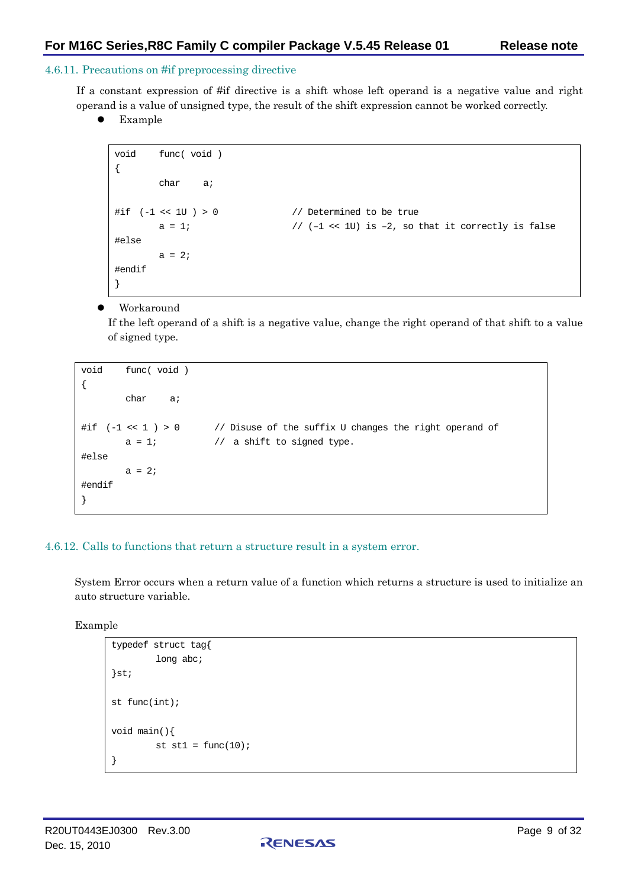### <span id="page-8-0"></span>4.6.11. Precautions on #if preprocessing directive

If a constant expression of #if directive is a shift whose left operand is a negative value and right operand is a value of unsigned type, the result of the shift expression cannot be worked correctly.

Example

```
void func( void ) 
{ 
        char a; 
\#if (-1 << 1U ) > 0 // Determined to be true
        a = 1; // (–1 << 1U) is –2, so that it correctly is false 
#else 
       a = 2i#endif 
}
```
### Workaround

If the left operand of a shift is a negative value, change the right operand of that shift to a value of signed type.

```
void func( void ) 
{ 
         char a; 
#if (-1 << 1 ) > 0 // Disuse of the suffix U changes the right operand of 
       a = 1; // a shift to signed type.#else 
       a = 2i#endif 
}
```
#### <span id="page-8-1"></span>4.6.12. Calls to functions that return a structure result in a system error.

System Error occurs when a return value of a function which returns a structure is used to initialize an auto structure variable.

#### Example

```
typedef struct tag{ 
         long abc;
}st; 
st func(int); 
void main(){ 
         st st1 = func(10);
}
```
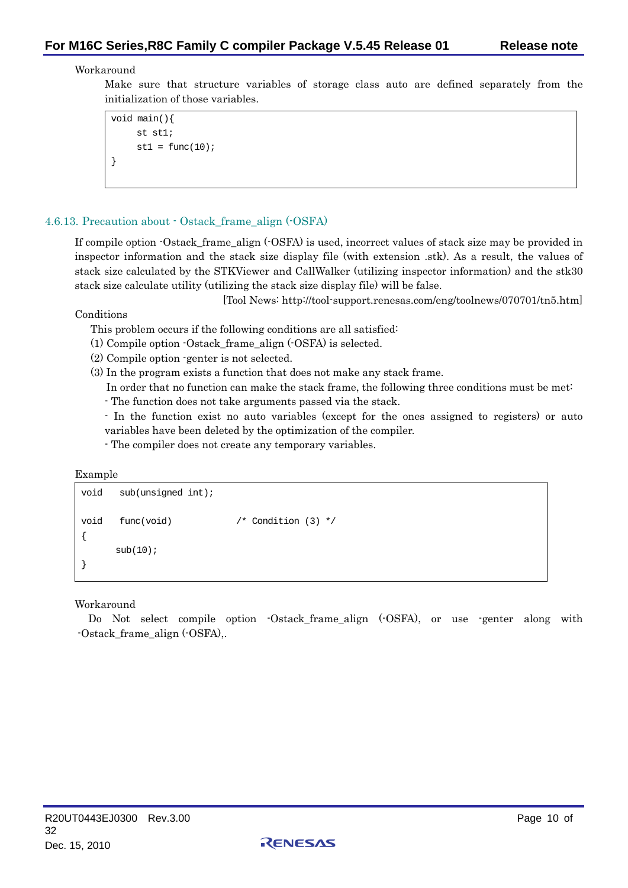### Workaround

Make sure that structure variables of storage class auto are defined separately from the initialization of those variables.

```
void main(){ 
     st st1; 
     st1 = func(10);}
```
# <span id="page-9-0"></span>4.6.13. Precaution about - Ostack\_frame\_align (-OSFA)

If compile option -Ostack frame align (-OSFA) is used, incorrect values of stack size may be provided in inspector information and the stack size display file (with extension .stk). As a result, the values of stack size calculated by the STKViewer and CallWalker (utilizing inspector information) and the stk30 stack size calculate utility (utilizing the stack size display file) will be false.

[Tool News: http://tool-support.renesas.com/eng/toolnews/070701/tn5.htm]

Conditions

- This problem occurs if the following conditions are all satisfied:
- (1) Compile option -Ostack\_frame\_align (-OSFA) is selected.
- (2) Compile option -genter is not selected.
- (3) In the program exists a function that does not make any stack frame.
	- In order that no function can make the stack frame, the following three conditions must be met:
	- The function does not take arguments passed via the stack.
	- In the function exist no auto variables (except for the ones assigned to registers) or auto variables have been deleted by the optimization of the compiler.
	- The compiler does not create any temporary variables.

Example

```
void sub(unsigned int); 
void func(void) /* Condition (3) */ 
{ 
     sub(10);}
```
#### Workaround

Do Not select compile option -Ostack\_frame\_align (-OSFA), or use -genter along with -Ostack\_frame\_align (-OSFA),.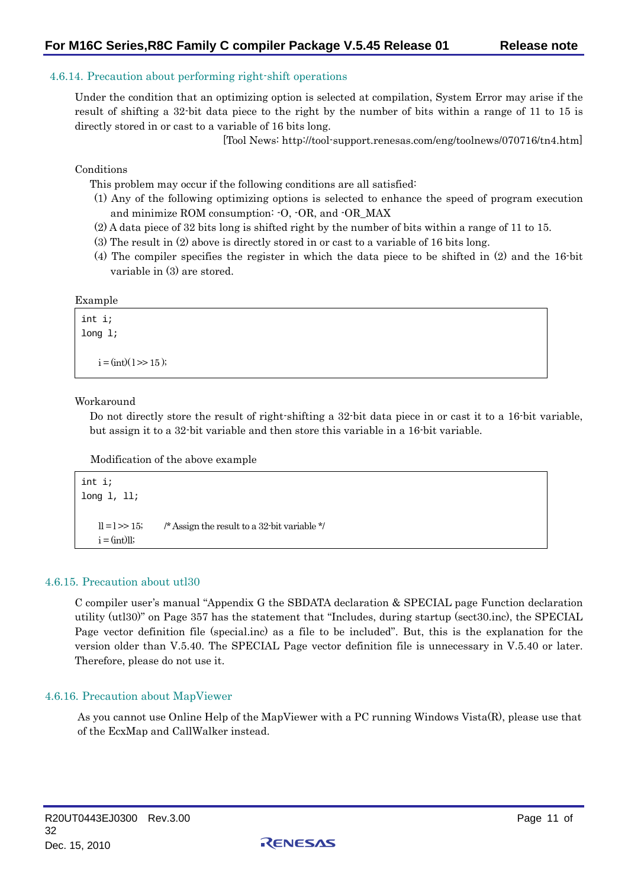### <span id="page-10-0"></span>4.6.14. Precaution about performing right-shift operations

Under the condition that an optimizing option is selected at compilation, System Error may arise if the result of shifting a 32-bit data piece to the right by the number of bits within a range of 11 to 15 is directly stored in or cast to a variable of 16 bits long.

[Tool News: http://tool-support.renesas.com/eng/toolnews/070716/tn4.htm]

Conditions

This problem may occur if the following conditions are all satisfied:

- (1) Any of the following optimizing options is selected to enhance the speed of program execution and minimize ROM consumption: -O, -OR, and -OR\_MAX
- (2) A data piece of 32 bits long is shifted right by the number of bits within a range of 11 to 15.
- (3) The result in (2) above is directly stored in or cast to a variable of 16 bits long.
- (4) The compiler specifies the register in which the data piece to be shifted in (2) and the 16-bit variable in (3) are stored.

#### Example

```
int i; 
long l; 
    i = (int)(1) > 15;
```
#### Workaround

Do not directly store the result of right-shifting a 32-bit data piece in or cast it to a 16-bit variable, but assign it to a 32-bit variable and then store this variable in a 16-bit variable.

Modification of the above example

```
int i; 
long l, ll; 
    \vert \vert = \vert >> 15; /* Assign the result to a 32-bit variable */
    i = (int)ll;
```
#### <span id="page-10-1"></span>4.6.15. Precaution about utl30

C compiler user's manual "Appendix G the SBDATA declaration & SPECIAL page Function declaration utility (utl30)" on Page 357 has the statement that "Includes, during startup (sect30.inc), the SPECIAL Page vector definition file (special.inc) as a file to be included". But, this is the explanation for the version older than V.5.40. The SPECIAL Page vector definition file is unnecessary in V.5.40 or later. Therefore, please do not use it.

#### <span id="page-10-2"></span>4.6.16. Precaution about MapViewer

As you cannot use Online Help of the MapViewer with a PC running Windows Vista(R), please use that of the EcxMap and CallWalker instead.

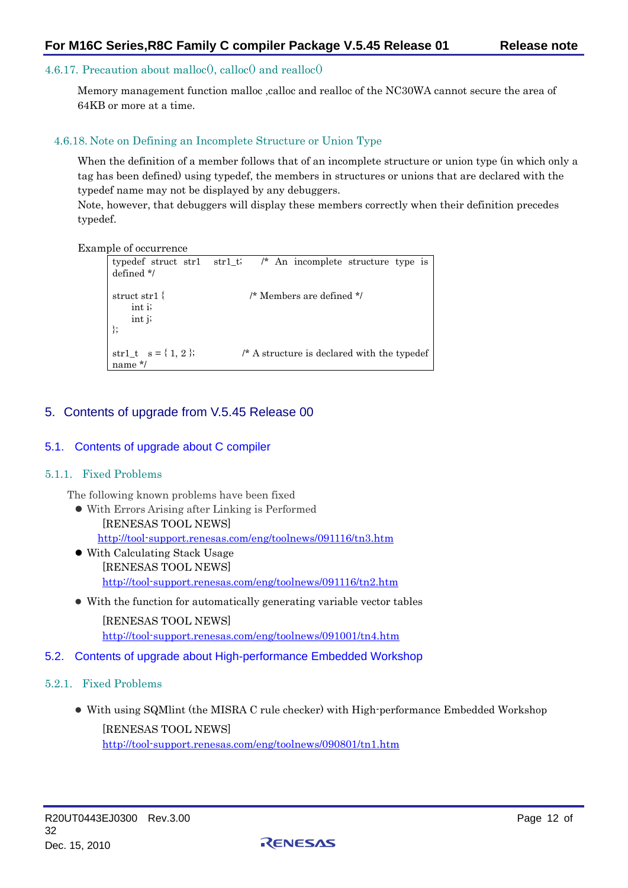### <span id="page-11-0"></span>4.6.17. Precaution about malloc<sup>()</sup>, calloc<sup>()</sup> and realloc<sup>()</sup>

Memory management function malloc ,calloc and realloc of the NC30WA cannot secure the area of 64KB or more at a time.

#### <span id="page-11-1"></span>4.6.18. Note on Defining an Incomplete Structure or Union Type

When the definition of a member follows that of an incomplete structure or union type (in which only a tag has been defined) using typedef, the members in structures or unions that are declared with the typedef name may not be displayed by any debuggers.

Note, however, that debuggers will display these members correctly when their definition precedes typedef.

Example of occurrence

```
typedef struct str1 str1_t; /* An incomplete structure type is 
defined */ 
struct str1 { /* Members are defined */ 
     int i; 
     int j; 
}; 
str1_t s = \{ 1, 2 \}; /* A structure is declared with the typedef
name */
```
# <span id="page-11-2"></span>5. Contents of upgrade from V.5.45 Release 00

### <span id="page-11-3"></span>5.1. Contents of upgrade about C compiler

#### <span id="page-11-4"></span>5.1.1. Fixed Problems

The following known problems have been fixed

- $\bullet$  With Errors Arising after Linking is Performed [RENESAS TOOL NEWS] <http://tool-support.renesas.com/eng/toolnews/091116/tn3.htm>
- With Calculating Stack Usage [RENESAS TOOL NEWS] [http://tool-support.renesas.com/eng/toolnews/091116/tn2.htm](http://tool-support.renesas.com/eng/toolnews/080616/tn1.htm)
- With the function for automatically generating variable vector tables

[RENESAS TOOL NEWS] [http://tool-support.renesas.com/eng/toolnews/091001/tn4.htm](http://tool-support.renesas.com/eng/toolnews/080616/tn2.htm)

# <span id="page-11-5"></span>5.2. Contents of upgrade about High-performance Embedded Workshop

# <span id="page-11-6"></span>5.2.1. Fixed Problems

• With using SQM lint (the MISRA C rule checker) with High-performance Embedded Workshop [RENESAS TOOL NEWS] [http://tool-support.renesas.com/eng/toolnews/090801/tn1.htm](http://tool-support.renesas.com/eng/toolnews/080616/tn3.htm)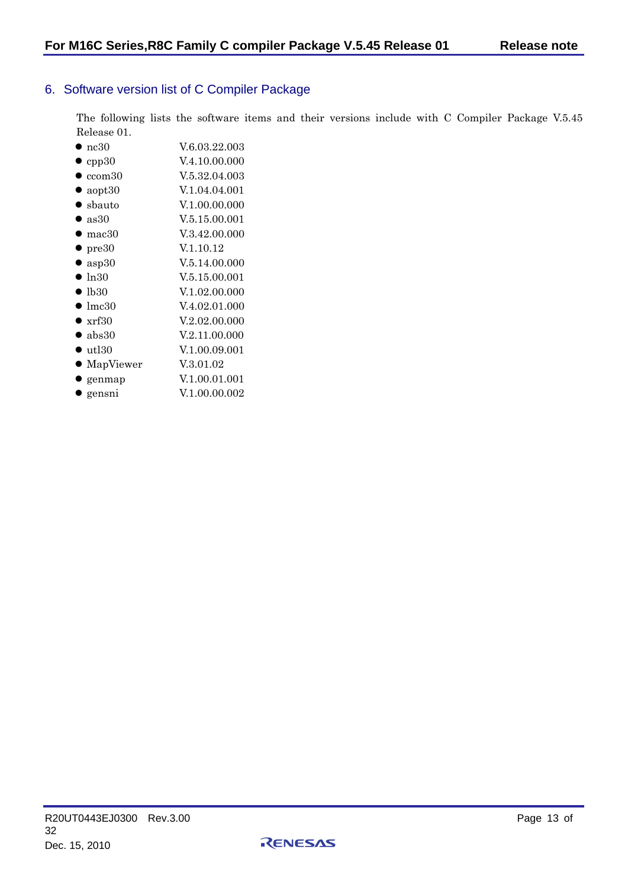# <span id="page-12-0"></span>6. Software version list of C Compiler Package

The following lists the software items and their versions include with C Compiler Package V.5.45 Release 01.

| $\bullet$ nc30    | V.6.03.22.003 |
|-------------------|---------------|
| $\bullet$ cpp30   | V.4.10.00.000 |
| $\bullet$ ccom 30 | V.5.32.04.003 |

- $\bullet$  aopt30 V.1.04.04.001
- $\bullet$  sbauto  $V.1.00.00.000$
- $\bullet$  as 30 V.5.15.00.001
- mac $30$  V.3.42.00.000
- $pre30$  V.1.10.12
- $\alpha$  asp30  $V.5.14.00.000$
- $\bullet$  ln30 V.5.15.00.001
- $\bullet$  lb30  $V.1.02.00.000$
- $\bullet$  lmc30 V.4.02.01.000
- $\bullet$  xrf30  $V.2.02.00.000$
- $\bullet$  abs30  $V.2.11.00.000$
- $\bullet$  utl30  $V.1.00.09.001$
- $\bullet$  MapViewer V.3.01.02
- $\bullet$  genmap  $V.1.00.01.001$
- gensni V.1.00.00.002

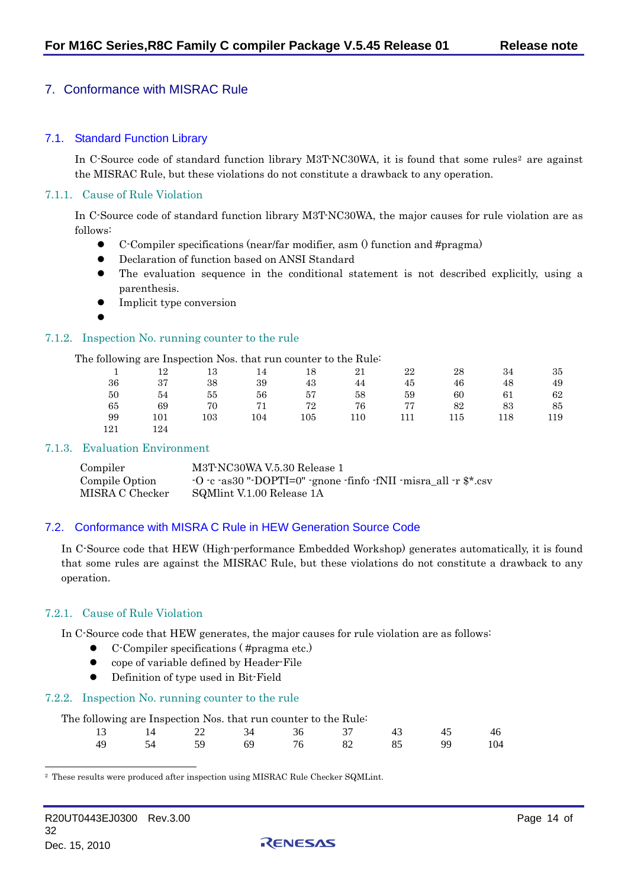# <span id="page-13-0"></span>7. Conformance with MISRAC Rule

#### <span id="page-13-1"></span>7.1. Standard Function Library

In C-Source code of standard function library M3T-NC30WA, it is found that some rules<sup>2</sup> are against the MISRAC Rule, but these violations do not constitute a drawback to any operation.

#### <span id="page-13-2"></span>7.1.1. Cause of Rule Violation

In C-Source code of standard function library M3T-NC30WA, the major causes for rule violation are as follows:

- $\bullet$  C-Compiler specifications (near/far modifier, asm () function and #pragma)
- $\bullet$  Declaration of function based on ANSI Standard
- $\bullet$  The evaluation sequence in the conditional statement is not described explicitly, using a parenthesis.
- Implicit type conversion
- $\bullet$

#### <span id="page-13-3"></span>7.1.2. Inspection No. running counter to the rule

The following are Inspection Nos. that run counter to the Rule:

| $\sim$ 1 | 12   |     | 14 18 |    |          | 22  | 28  | 34  | -35 |
|----------|------|-----|-------|----|----------|-----|-----|-----|-----|
| 36       | - 37 | -38 | 39    | 43 | 44       | 45  | 46  | 48  | -49 |
| 50       | 54   | 55  | 56    | 57 | 58       | 59  | 60  | 61  | -62 |
| 65       | - 69 | 70  |       |    | 71 72 76 | 77  | 82  | 83  | 85  |
| 99       | 101  | 103 | 104   |    | 105 110  | 111 | 115 | 118 | 119 |
| 121      | 124  |     |       |    |          |     |     |     |     |

#### <span id="page-13-4"></span>7.1.3. Evaluation Environment

| Compiler        | M3T-NC30WA V.5.30 Release 1                                                                                                      |
|-----------------|----------------------------------------------------------------------------------------------------------------------------------|
| Compile Option  | $\cdot$ O $\cdot$ c $\cdot$ as30 " $\cdot$ DOPTI=0" $\cdot$ gnone $\cdot$ finfo $\cdot$ fNII $\cdot$ misra all $\cdot$ r \$*.csv |
| MISRA C Checker | SQMlint V.1.00 Release 1A                                                                                                        |

# <span id="page-13-5"></span>7.2. Conformance with MISRA C Rule in HEW Generation Source Code

In C-Source code that HEW (High-performance Embedded Workshop) generates automatically, it is found that some rules are against the MISRAC Rule, but these violations do not constitute a drawback to any operation.

#### <span id="page-13-6"></span>7.2.1. Cause of Rule Violation

In C-Source code that HEW generates, the major causes for rule violation are as follows:

- z C-Compiler specifications ( #pragma etc.)
- cope of variable defined by Header-File
	- Definition of type used in Bit-Field

#### <span id="page-13-7"></span>7.2.2. Inspection No. running counter to the rule

| The following are Inspection Nos. that run counter to the Rule: |                                          |          |    |           |     |
|-----------------------------------------------------------------|------------------------------------------|----------|----|-----------|-----|
|                                                                 | $13 \t 14 \t 22 \t 34 \t 36 \t 37 \t 43$ |          |    |           |     |
|                                                                 | 54 59                                    | 69 76 82 | 85 | <b>QQ</b> | 104 |

RENESAS

<span id="page-13-8"></span>2 These results were produced after inspection using MISRAC Rule Checker SQMLint.

l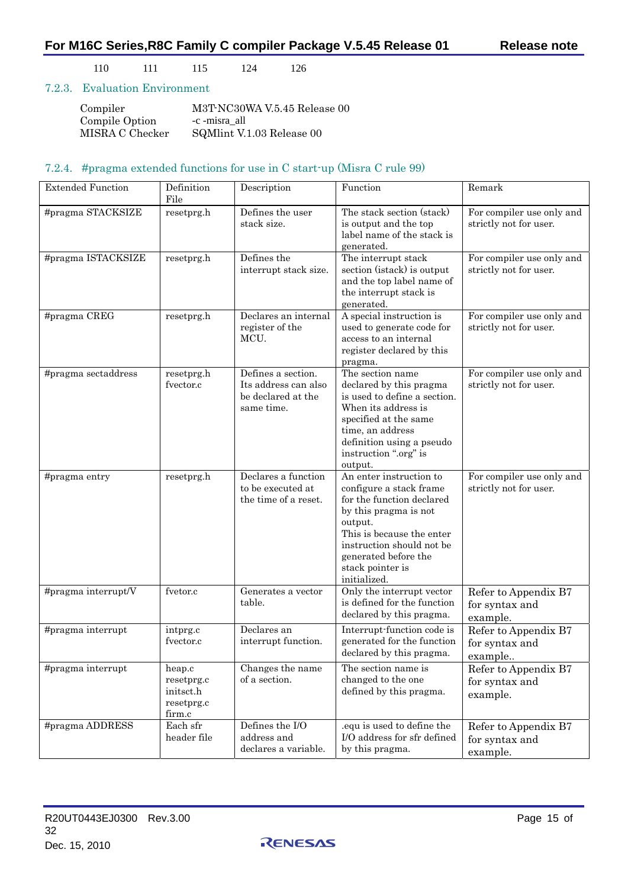110 111 115 124 126

### <span id="page-14-0"></span>7.2.3. Evaluation Environment

| Compiler        | M3T-NC30WA V.5.45 Release 00 |
|-----------------|------------------------------|
| Compile Option  | -c -misra all                |
| MISRA C Checker | SQMInt V.1.03 Release 00     |

## 7.2.4. #pragma extended functions for use in C start-up (Misra C rule 99)

<span id="page-14-1"></span>

| <b>Extended Function</b> | Definition<br>File                                        | Description                                                                    | Function                                                                                                                                                                                                                                  | Remark                                              |
|--------------------------|-----------------------------------------------------------|--------------------------------------------------------------------------------|-------------------------------------------------------------------------------------------------------------------------------------------------------------------------------------------------------------------------------------------|-----------------------------------------------------|
| #pragma STACKSIZE        | resetprg.h                                                | Defines the user<br>stack size.                                                | The stack section (stack)<br>is output and the top<br>label name of the stack is<br>generated.                                                                                                                                            | For compiler use only and<br>strictly not for user. |
| #pragma ISTACKSIZE       | resetprg.h                                                | Defines the<br>interrupt stack size.                                           | The interrupt stack<br>section (istack) is output<br>and the top label name of<br>the interrupt stack is<br>generated.                                                                                                                    | For compiler use only and<br>strictly not for user. |
| #pragma CREG             | resetprg.h                                                | Declares an internal<br>register of the<br>MCU.                                | A special instruction is<br>used to generate code for<br>access to an internal<br>register declared by this<br>pragma.                                                                                                                    | For compiler use only and<br>strictly not for user. |
| #pragma sectaddress      | resetprg.h<br>fvector.c                                   | Defines a section.<br>Its address can also<br>be declared at the<br>same time. | The section name<br>declared by this pragma<br>is used to define a section.<br>When its address is<br>specified at the same<br>time, an address<br>definition using a pseudo<br>instruction ".org" is<br>output.                          | For compiler use only and<br>strictly not for user. |
| #pragma entry            | resetprg.h                                                | Declares a function<br>to be executed at<br>the time of a reset.               | An enter instruction to<br>configure a stack frame<br>for the function declared<br>by this pragma is not<br>output.<br>This is because the enter<br>instruction should not be<br>generated before the<br>stack pointer is<br>initialized. | For compiler use only and<br>strictly not for user. |
| #pragma interrupt/V      | fvetor.c                                                  | Generates a vector<br>table.                                                   | Only the interrupt vector<br>is defined for the function<br>declared by this pragma.                                                                                                                                                      | Refer to Appendix B7<br>for syntax and<br>example.  |
| #pragma interrupt        | intprg.c<br>fvector.c                                     | Declares an<br>interrupt function.                                             | Interrupt-function code is<br>generated for the function<br>declared by this pragma.                                                                                                                                                      | Refer to Appendix B7<br>for syntax and<br>example   |
| #pragma interrupt        | heap.c<br>resetprg.c<br>initsct.h<br>resetprg.c<br>firm.c | Changes the name<br>of a section.                                              | The section name is<br>changed to the one<br>defined by this pragma.                                                                                                                                                                      | Refer to Appendix B7<br>for syntax and<br>example.  |
| #pragma ADDRESS          | Each sfr<br>header file                                   | Defines the I/O<br>address and<br>declares a variable.                         | .equ is used to define the<br>I/O address for sfr defined<br>by this pragma.                                                                                                                                                              | Refer to Appendix B7<br>for syntax and<br>example.  |

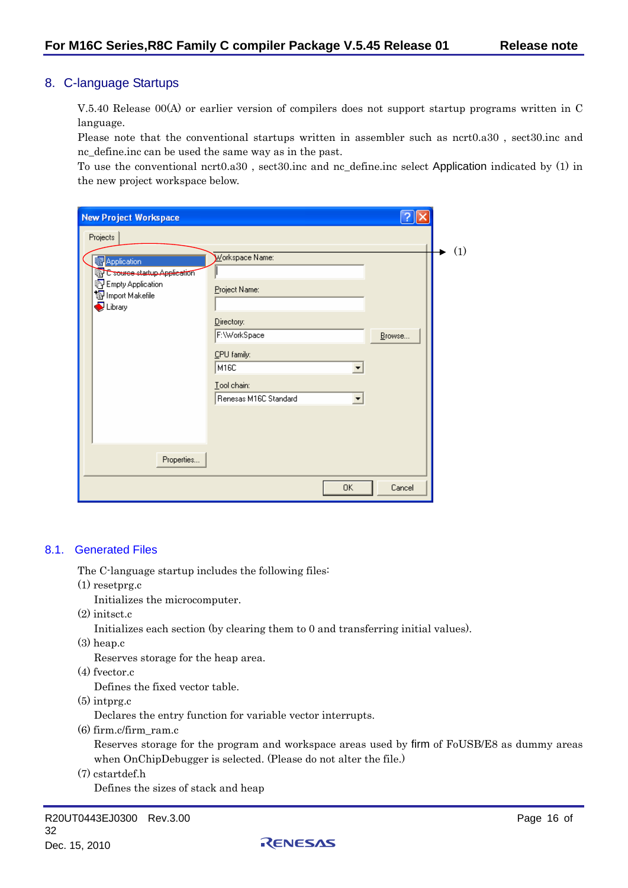# <span id="page-15-0"></span>8. C-language Startups

V.5.40 Release 00(A) or earlier version of compilers does not support startup programs written in C language.

Please note that the conventional startups written in assembler such as ncrt0.a30 , sect30.inc and nc\_define.inc can be used the same way as in the past.

To use the conventional ncrt0.a30 , sect30.inc and nc\_define.inc select Application indicated by (1) in the new project workspace below.

| <b>New Project Workspace</b>                                                                                                                          |                                                                                                                               |        |     |
|-------------------------------------------------------------------------------------------------------------------------------------------------------|-------------------------------------------------------------------------------------------------------------------------------|--------|-----|
| Projects                                                                                                                                              |                                                                                                                               |        |     |
| <b>B</b> Application<br><b>B</b> C source startup Application<br><b>B</b> Empty Application<br>19 Import Makefile<br>$\bigcirc$ Library<br>Properties | Workspace Name:<br>Project Name:<br>Directory:<br>F:\WorkSpace<br>CPU family:<br>M16C<br>Tool chain:<br>Renesas M16C Standard | Browse | (1) |
|                                                                                                                                                       | 0K                                                                                                                            | Cancel |     |

#### <span id="page-15-1"></span>8.1. Generated Files

The C-language startup includes the following files:

(1) resetprg.c

Initializes the microcomputer.

(2) initsct.c

Initializes each section (by clearing them to 0 and transferring initial values).

(3) heap.c

Reserves storage for the heap area.

(4) fvector.c

Defines the fixed vector table.

 $(5)$  intprg.c

Declares the entry function for variable vector interrupts.

(6) firm.c/firm\_ram.c

Reserves storage for the program and workspace areas used by firm of FoUSB/E8 as dummy areas when OnChipDebugger is selected. (Please do not alter the file.)

(7) cstartdef.h

Defines the sizes of stack and heap

R20UT0443EJ0300 Rev.3.00 Page 16 of 32 Dec. 15, 2010

RENESAS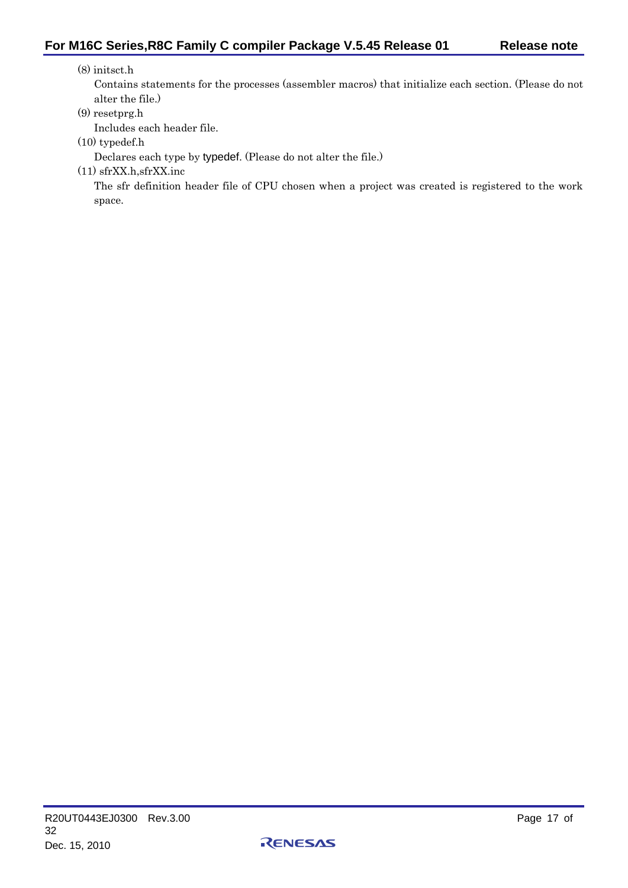#### (8) initsct.h

Contains statements for the processes (assembler macros) that initialize each section. (Please do not alter the file.)

## (9) resetprg.h

Includes each header file.

(10) typedef.h

Declares each type by typedef. (Please do not alter the file.)

(11) sfrXX.h,sfrXX.inc

The sfr definition header file of CPU chosen when a project was created is registered to the work space.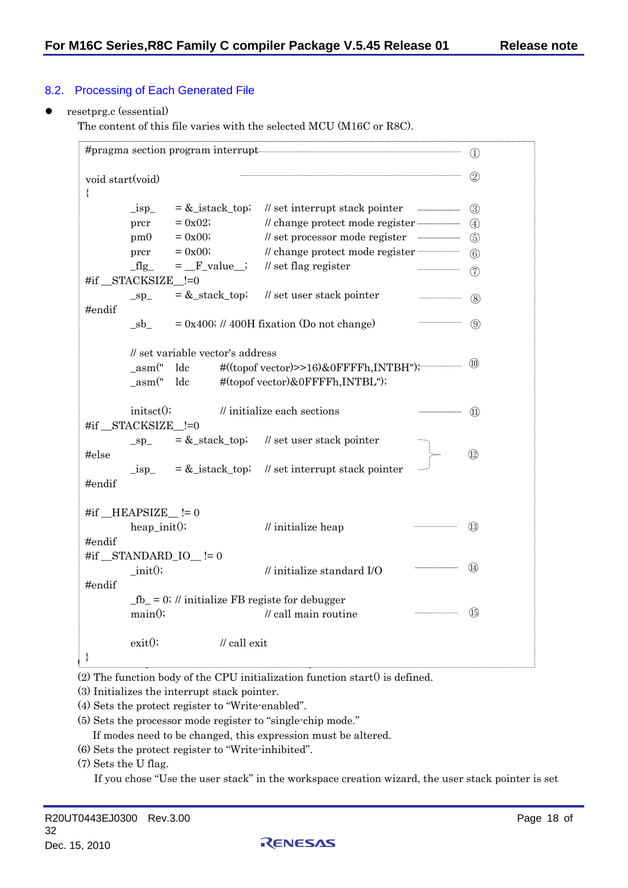# <span id="page-17-0"></span>8.2. Processing of Each Generated File

#### resetprg.c (essential)

The content of this file varies with the selected MCU (M16C or R8C).

| ₹      | void start(void)        |                                  |              |                                                      |  |                |  |  |  |
|--------|-------------------------|----------------------------------|--------------|------------------------------------------------------|--|----------------|--|--|--|
|        | $_{1sp}$                | $=\&$ _istack_top;               |              | $\ell$ set interrupt stack pointer                   |  | $\circled{3}$  |  |  |  |
|        | prcr                    | $= 0x02;$                        |              |                                                      |  | $\circ$        |  |  |  |
|        | pm0                     | $= 0x00;$                        |              | // set processor mode register www.www.www.          |  | $\circ$        |  |  |  |
|        | prcr                    | $= 0x00;$                        |              |                                                      |  | $\circledS$    |  |  |  |
|        | $fig\_$                 |                                  |              | $=$ $\mathbb{F}_\text{value}$ ; // set flag register |  | (7)            |  |  |  |
|        | #if STACKSIZE_!=0       |                                  |              |                                                      |  |                |  |  |  |
|        | $\_sp$                  |                                  |              | $=$ &_stack_top; // set user stack pointer           |  | (8)            |  |  |  |
| #endif |                         |                                  |              |                                                      |  |                |  |  |  |
|        | $_{\rm -sb}$            |                                  |              | $= 0x400$ ; // 400H fixation (Do not change)         |  | (9)            |  |  |  |
|        |                         |                                  |              |                                                      |  |                |  |  |  |
|        |                         | // set variable vector's address |              |                                                      |  |                |  |  |  |
|        | asm("                   | ldc                              |              | #((topof vector)>>16)&0FFFFh,INTBH"); 400            |  |                |  |  |  |
|        | $\mathsf{Lasm}("$       | ldc                              |              | #(topof vector)&0FFFFh, INTBL");                     |  |                |  |  |  |
|        |                         |                                  |              |                                                      |  |                |  |  |  |
|        | initsct();              |                                  |              | // initialize each sections                          |  | (11)           |  |  |  |
|        | #if STACKSIZE_!=0       |                                  |              |                                                      |  |                |  |  |  |
|        | $\_sp\_$                |                                  |              | $=$ &_stack_top; // set user stack pointer           |  |                |  |  |  |
| #else  |                         |                                  |              |                                                      |  | $\circled{12}$ |  |  |  |
|        | $\verb isp_ $           |                                  |              | $=\&$ _istack_top; // set interrupt stack pointer    |  |                |  |  |  |
| #endif |                         |                                  |              |                                                      |  |                |  |  |  |
|        |                         |                                  |              |                                                      |  |                |  |  |  |
|        | #if $_HEAPSIZE$ = $= 0$ |                                  |              |                                                      |  |                |  |  |  |
|        | $heap\_init()$          |                                  |              | // initialize heap                                   |  | (13)           |  |  |  |
| #endif |                         |                                  |              |                                                      |  |                |  |  |  |
|        |                         | #if $_\text{STANDARDIO}$ = = 0   |              |                                                      |  | (14)           |  |  |  |
|        | init()                  |                                  |              | $\frac{1}{10}$ initialize standard I/O               |  |                |  |  |  |
| #endif |                         |                                  |              |                                                      |  |                |  |  |  |
|        |                         |                                  |              | $fb = 0$ ; // initialize FB registe for debugger     |  | (15)           |  |  |  |
|        | main()                  |                                  |              | $\mathcal U$ call main routine                       |  |                |  |  |  |
|        | exit()                  |                                  | // call exit |                                                      |  |                |  |  |  |
|        |                         |                                  |              |                                                      |  |                |  |  |  |
|        |                         |                                  |              |                                                      |  |                |  |  |  |

 $(2)$  The function body of the CPU initialization function start $(0)$  is defined.

(3) Initializes the interrupt stack pointer.

(4) Sets the protect register to "Write-enabled".

(5) Sets the processor mode register to "single-chip mode."

If modes need to be changed, this expression must be altered.

(6) Sets the protect register to "Write-inhibited".

(7) Sets the U flag.

If you chose "Use the user stack" in the workspace creation wizard, the user stack pointer is set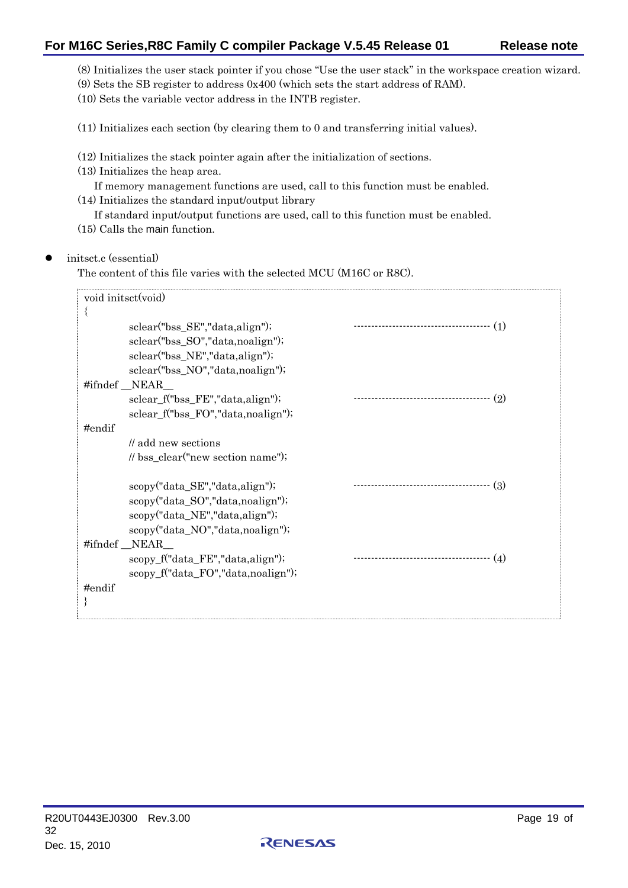# **For M16C Series,R8C Family C compiler Package V.5.45 Release 01 Release note**

(8) Initializes the user stack pointer if you chose "Use the user stack" in the workspace creation wizard.

(9) Sets the SB register to address 0x400 (which sets the start address of RAM).

(10) Sets the variable vector address in the INTB register.

(11) Initializes each section (by clearing them to 0 and transferring initial values).

(12) Initializes the stack pointer again after the initialization of sections.

(13) Initializes the heap area.

If memory management functions are used, call to this function must be enabled. (14) Initializes the standard input/output library

If standard input/output functions are used, call to this function must be enabled. (15) Calls the main function.

### z initsct.c (essential)

The content of this file varies with the selected MCU (M16C or R8C).

|           | void initsct(void)                  |                                             |
|-----------|-------------------------------------|---------------------------------------------|
|           |                                     |                                             |
|           | sclear("bss_SE","data,align");      | ------------------------------------<br>(1) |
|           | sclear("bss_SO","data,noalign");    |                                             |
|           | sclear("bss_NE","data,align");      |                                             |
|           | sclear("bss_NO","data,noalign");    |                                             |
|           | #ifndef NEAR                        |                                             |
|           | sclear_f("bss_FE","data,align");    | <br>(2)                                     |
|           | sclear f("bss FO","data, noalign"); |                                             |
| #endif    |                                     |                                             |
|           | // add new sections                 |                                             |
|           | // bss_clear("new section name");   |                                             |
|           |                                     |                                             |
|           | scopy("data_SE","data, align");     | -----------------------------------<br>(3)  |
|           | scopy("data_SO","data,noalign");    |                                             |
|           | scopy("data_NE","data, align");     |                                             |
|           | scopy("data_NO","data,noalign");    |                                             |
|           | #ifndef NEAR                        |                                             |
|           | scopy_f("data_FE","data,align");    | ---------------------------------<br>- (4)  |
|           | scopy_f("data_FO","data,noalign");  |                                             |
| $#$ endif |                                     |                                             |
|           |                                     |                                             |
|           |                                     |                                             |

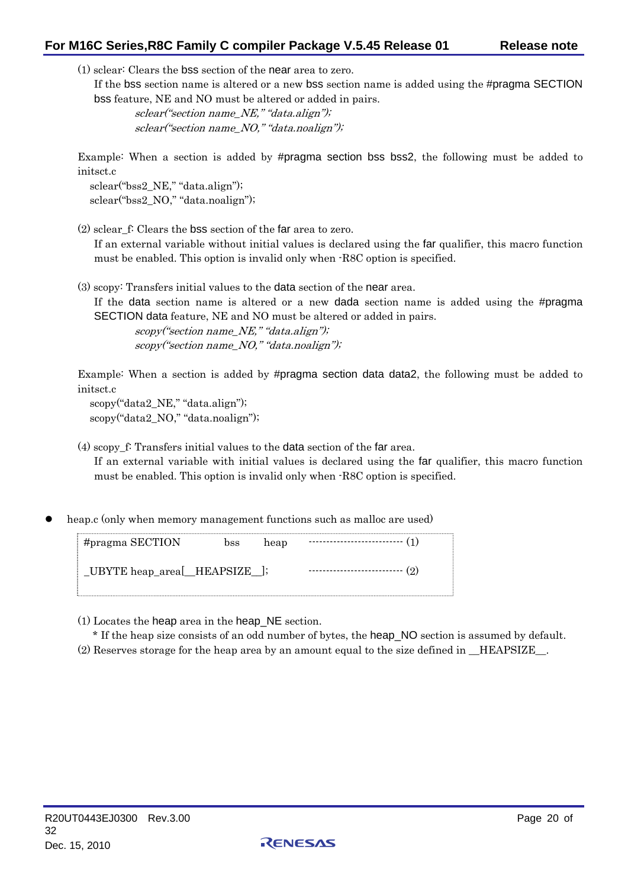# **For M16C Series,R8C Family C compiler Package V.5.45 Release 01 Release note**

(1) sclear: Clears the bss section of the near area to zero.

If the bss section name is altered or a new bss section name is added using the #pragma SECTION bss feature, NE and NO must be altered or added in pairs.

 sclear("section name\_NE," "data.align"); sclear("section name\_NO," "data.noalign");

Example: When a section is added by #pragma section bss bss2, the following must be added to initsct.c

sclear("bss2\_NE," "data.align"); sclear("bss2\_NO," "data.noalign");

(2) sclear\_f: Clears the bss section of the far area to zero.

If an external variable without initial values is declared using the far qualifier, this macro function must be enabled. This option is invalid only when -R8C option is specified.

(3) scopy: Transfers initial values to the data section of the near area.

If the data section name is altered or a new dada section name is added using the #pragma SECTION data feature, NE and NO must be altered or added in pairs.

 scopy("section name\_NE," "data.align"); scopy("section name NO," "data.noalign");

Example: When a section is added by #pragma section data data2, the following must be added to initsct.c

 scopy("data2\_NE," "data.align"); scopy("data2\_NO," "data.noalign");

(4) scopy\_f: Transfers initial values to the data section of the far area. If an external variable with initial values is declared using the far qualifier, this macro function must be enabled. This option is invalid only when -R8C option is specified.

heap.c (only when memory management functions such as malloc are used)

| #pragma SECTION               |  | bss heap $\cdots$ (1)              |  |
|-------------------------------|--|------------------------------------|--|
| _UBYTE heap_area[_HEAPSIZE_]; |  | ------------------------------ (2) |  |

(1) Locates the heap area in the heap\_NE section.

\* If the heap size consists of an odd number of bytes, the heap\_NO section is assumed by default. (2) Reserves storage for the heap area by an amount equal to the size defined in \_\_HEAPSIZE\_\_.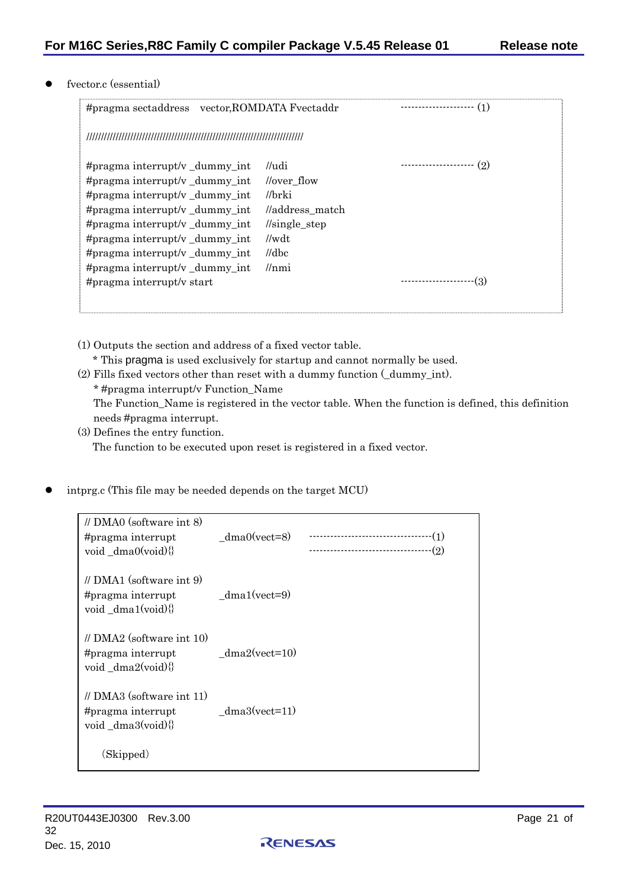### fvector.c (essential)

| #pragma sectaddress vector, ROMDATA Fvectaddr                                                                                                                          |                                                                                                                                | -----------------          |
|------------------------------------------------------------------------------------------------------------------------------------------------------------------------|--------------------------------------------------------------------------------------------------------------------------------|----------------------------|
|                                                                                                                                                                        |                                                                                                                                |                            |
| #pragma interrupt/v_dummy_int<br>#pragma interrupt/v_dummy_int<br>#pragma interrupt/v_dummy_int<br>#pragma interrupt/v $_d$ dummy int<br>#pragma interrupt/v dummy int | //udi<br><i>lover</i> flow<br>//brki<br>//address_match<br>$\frac{\text{I}}{\text{single\_step}}$<br>$\mathcal{U}\mathbf{w}dt$ | ---------------------- (2) |
| #pragma interrupt/v_dummy_int<br>#pragma interrupt/v dummy int<br>#pragma interrupt/v_dummy_int<br>#pragma interrupt/v start                                           | $\mathcal{U}$ dbc<br>l/nmi                                                                                                     | -(3)<br>---------------    |

- (1) Outputs the section and address of a fixed vector table.
	- \* This pragma is used exclusively for startup and cannot normally be used.
- (2) Fills fixed vectors other than reset with a dummy function (\_dummy\_int). \* #pragma interrupt/v Function\_Name The Function\_Name is registered in the vector table. When the function is defined, this definition needs #pragma interrupt.
- (3) Defines the entry function. The function to be executed upon reset is registered in a fixed vector.
- intprg.c (This file may be needed depends on the target MCU)

| $\textit{//}$ DMA0 (software int 8)<br>#pragma interrupt<br>void $dma0(void)$ | $dma0(vect=8)$  | $-(2)$ |
|-------------------------------------------------------------------------------|-----------------|--------|
| $\#$ DMA1 (software int 9)<br>#pragma interrupt<br>void dma1(void) $\{\}$     | $dma1(vect=9)$  |        |
| $\text{/}$ DMA2 (software int 10)<br>#pragma interrupt<br>void_dma2(void){}   | $dma2(vect=10)$ |        |
| $\text{/}$ DMA3 (software int 11)<br>#pragma interrupt<br>void $dma3(void)\$  | $dma3(vect=11)$ |        |
| (Skipped)                                                                     |                 |        |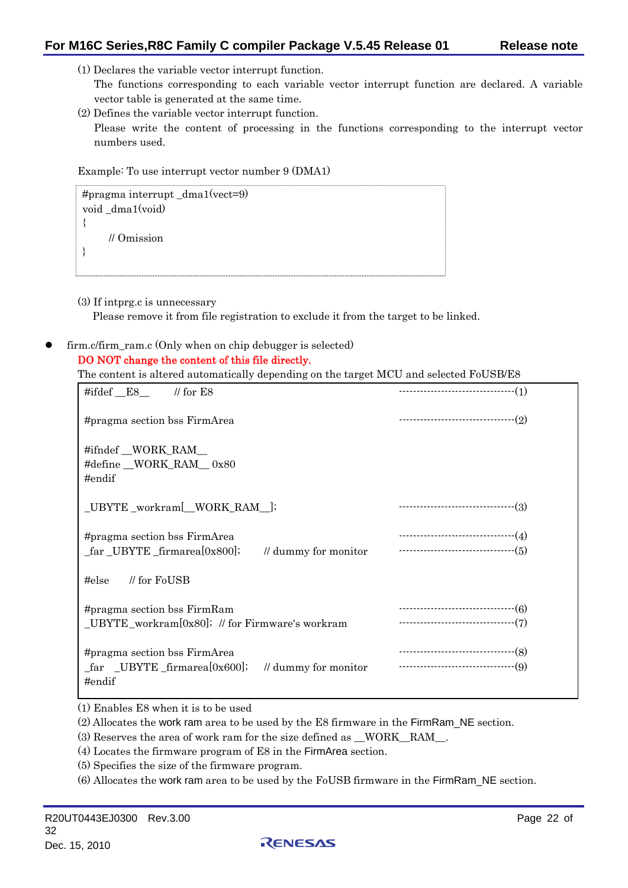- (1) Declares the variable vector interrupt function.
	- The functions corresponding to each variable vector interrupt function are declared. A variable vector table is generated at the same time.
- (2) Defines the variable vector interrupt function. Please write the content of processing in the functions corresponding to the interrupt vector numbers used.

Example: To use interrupt vector number 9 (DMA1)

```
#pragma interrupt _dma1(vect=9) 
void _dma1(void) 
{ 
     // Omission 
}
```
(3) If intprg.c is unnecessary

Please remove it from file registration to exclude it from the target to be linked.

firm.c/firm ram.c (Only when on chip debugger is selected)

### DO NOT change the content of this file directly.

The content is altered automatically depending on the target MCU and selected FoUSB/E8

| #ifdef $_E8$ // for E8                                                                                   |                      | -----------------------------------(1) |
|----------------------------------------------------------------------------------------------------------|----------------------|----------------------------------------|
| #pragma section bss FirmArea                                                                             |                      |                                        |
| #ifndef WORK_RAM<br>#define WORK_RAM_0x80<br>$#$ endif                                                   |                      |                                        |
| _UBYTE _workram[_WORK_RAM_];                                                                             |                      |                                        |
| #pragma section bss FirmArea<br>_far _UBYTE _firmarea[0x800];                                            | // dummy for monitor |                                        |
| // for FoUSB<br>$\#else$                                                                                 |                      |                                        |
| #pragma section bss FirmRam<br>$_LUBYTE_workram[0x80]$ ; // for Firmware's workram                       |                      |                                        |
| #pragma section bss FirmArea<br>$\text{far }$ _UBYTE _firmarea[0x600]; // dummy for monitor<br>$#$ endif |                      | ----------------------------------(8)  |

(1) Enables E8 when it is to be used

(2) Allocates the work ram area to be used by the E8 firmware in the FirmRam\_NE section.

(3) Reserves the area of work ram for the size defined as \_\_WORK\_\_RAM\_\_.

(4) Locates the firmware program of E8 in the FirmArea section.

(5) Specifies the size of the firmware program.

(6) Allocates the work ram area to be used by the FoUSB firmware in the FirmRam\_NE section.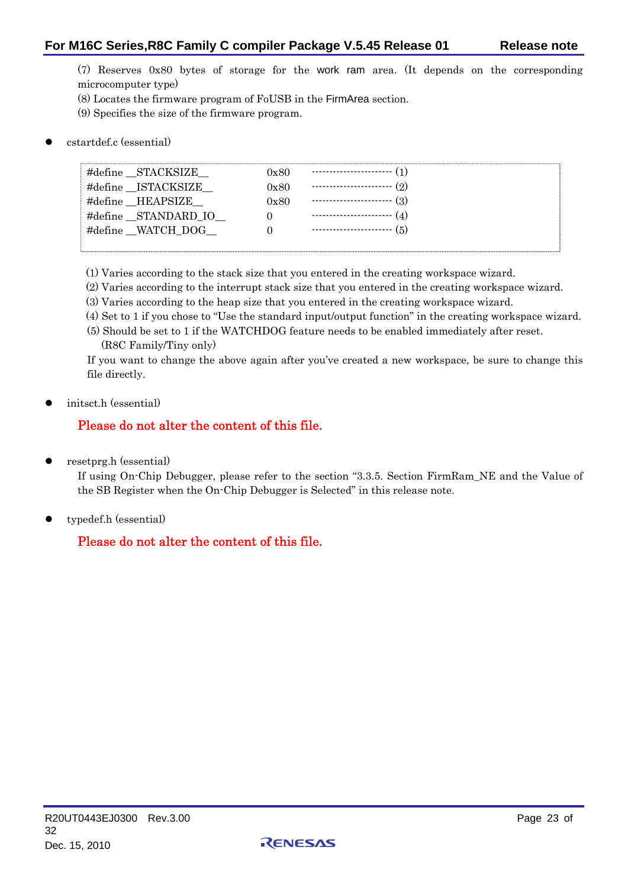(7) Reserves 0x80 bytes of storage for the work ram area. (It depends on the corresponding microcomputer type)

- (8) Locates the firmware program of FoUSB in the FirmArea section.
- (9) Specifies the size of the firmware program.

## z cstartdef.c (essential)

| #define STACKSIZE   | 7x80 | ----------------------- (1)   |
|---------------------|------|-------------------------------|
| #define ISTACKSIZE  | 0x80 | (2)                           |
| #define HEAPSIZE    | 0x80 | (3)                           |
| #define STANDARD IO |      | ----------------------<br>(4) |
| #define WATCH DOG   |      | ------------------------ (5)  |
|                     |      |                               |

- (1) Varies according to the stack size that you entered in the creating workspace wizard.
- (2) Varies according to the interrupt stack size that you entered in the creating workspace wizard.
- (3) Varies according to the heap size that you entered in the creating workspace wizard.
- (4) Set to 1 if you chose to "Use the standard input/output function" in the creating workspace wizard.
- (5) Should be set to 1 if the WATCHDOG feature needs to be enabled immediately after reset. (R8C Family/Tiny only)

If you want to change the above again after you've created a new workspace, be sure to change this file directly.

initsct.h (essential)

# Please do not alter the content of this file.

resetprg.h (essential)

If using On-Chip Debugger, please refer to the section "3.3.5. Section FirmRam\_NE and the Value of the SB Register when the On-Chip Debugger is Selected" in this release note.

typedef.h (essential)

# Please do not alter the content of this file.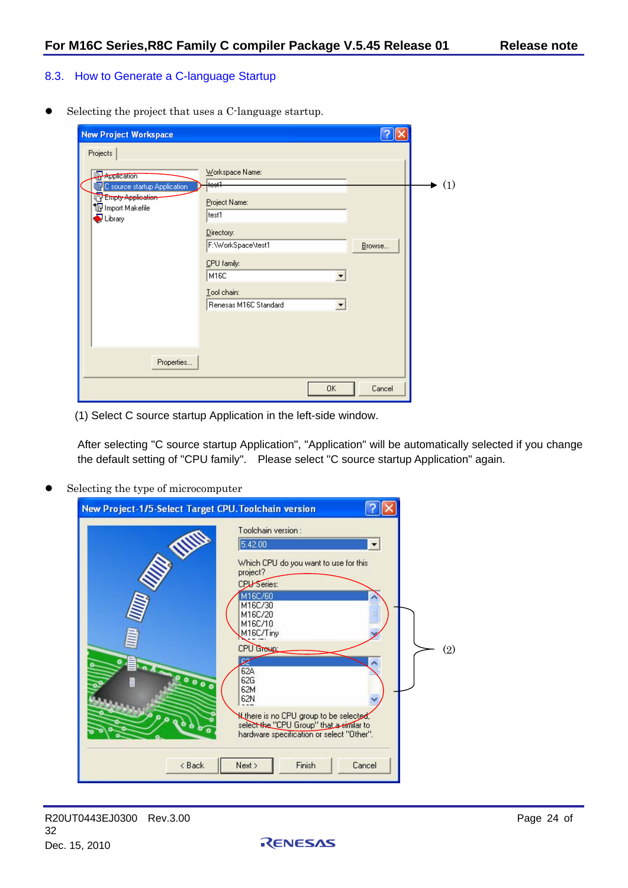# <span id="page-23-0"></span>8.3. How to Generate a C-language Startup

 $\bullet$  Selecting the project that uses a C-language startup.

| <b>New Project Workspace</b>                                                                                        |                                                         |        |     |
|---------------------------------------------------------------------------------------------------------------------|---------------------------------------------------------|--------|-----|
| Projects                                                                                                            |                                                         |        |     |
| <b>Application</b><br>C source startup Application<br>Empty Application<br>To Import Makefile<br>$\bigcirc$ Library | Workspace Name:<br>test1<br>Project Name:<br>test1      |        | (1) |
|                                                                                                                     | Directory:<br>F:\WorkSpace\test1<br>CPU family:<br>M16C | Browse |     |
|                                                                                                                     | Tool chain:<br>Renesas M16C Standard                    |        |     |
| Properties                                                                                                          |                                                         |        |     |
|                                                                                                                     | 0K                                                      | Cancel |     |

(1) Select C source startup Application in the left-side window.

After selecting "C source startup Application", "Application" will be automatically selected if you change the default setting of "CPU family". Please select "C source startup Application" again.

Selecting the type of microcomputer

| New Project-1/5-Select Target CPU. Toolchain version                                                                                                                                                                                                                                                                                          |     |
|-----------------------------------------------------------------------------------------------------------------------------------------------------------------------------------------------------------------------------------------------------------------------------------------------------------------------------------------------|-----|
| Toolchain version:<br>5.42.00<br>$\blacktriangledown$<br>Which CPU do you want to use for this<br>project?<br><b>CPU Series:</b><br>M16C/60<br>M16C/30<br>M16C/20<br>M16C/10<br>M16C/Tiny<br>CPU GTONE<br>₽<br>62A<br>62G<br>00000<br>62M<br>62N<br><b>Kthere is no CPU group to be selected,</b><br>select the "CPU Group" that a similar to | (2) |
| hardware specification or select "Other".<br>Finish<br>< Back<br>Next<br>Cancel                                                                                                                                                                                                                                                               |     |

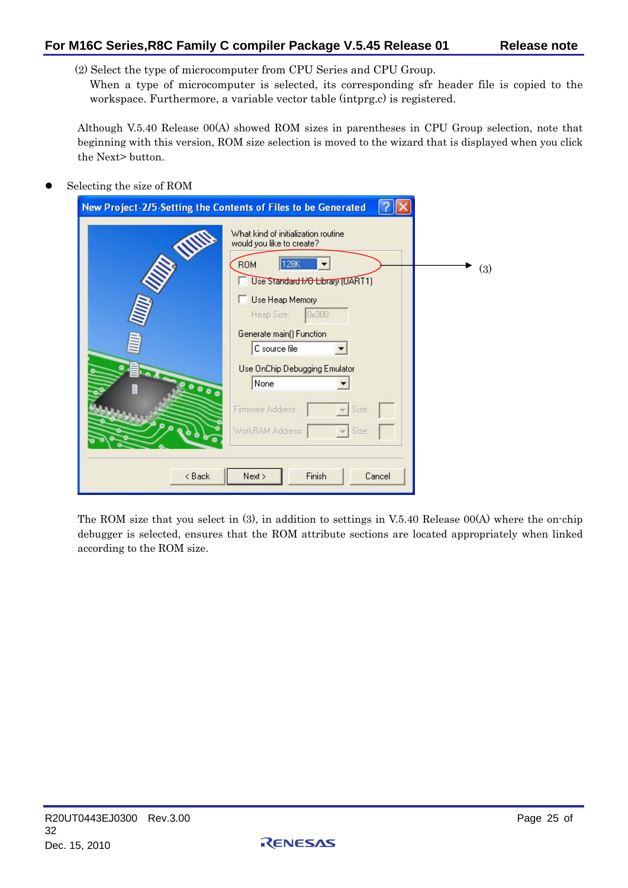(2) Select the type of microcomputer from CPU Series and CPU Group.

When a type of microcomputer is selected, its corresponding sfr header file is copied to the workspace. Furthermore, a variable vector table (intprg.c) is registered.

Although V.5.40 Release 00(A) showed ROM sizes in parentheses in CPU Group selection, note that beginning with this version, ROM size selection is moved to the wizard that is displayed when you click the Next> button.

# Selecting the size of ROM

| New Project-2/5-Setting the Contents of Files to be Generated |                                                                                                                                                                                                                                                                                                                                                    |     |
|---------------------------------------------------------------|----------------------------------------------------------------------------------------------------------------------------------------------------------------------------------------------------------------------------------------------------------------------------------------------------------------------------------------------------|-----|
| WWW<br>200000<br>< Back                                       | What kind of initialization routine<br>would you like to create?<br>128K<br><b>ROM</b><br>Use Standard HO Library (UART1)<br>Use Heap Memory<br>0x300<br>Heap Size:<br>Generate main() Function<br>C source file<br>Use OnChip Debugging Emulator<br>None<br>Firmware Address:<br>Size:<br>Size:<br>WorkRAM Address:<br>Finish<br>Next ><br>Cancel | (3) |
|                                                               |                                                                                                                                                                                                                                                                                                                                                    |     |

The ROM size that you select in (3), in addition to settings in V.5.40 Release 00(A) where the on-chip debugger is selected, ensures that the ROM attribute sections are located appropriately when linked according to the ROM size.

RENESAS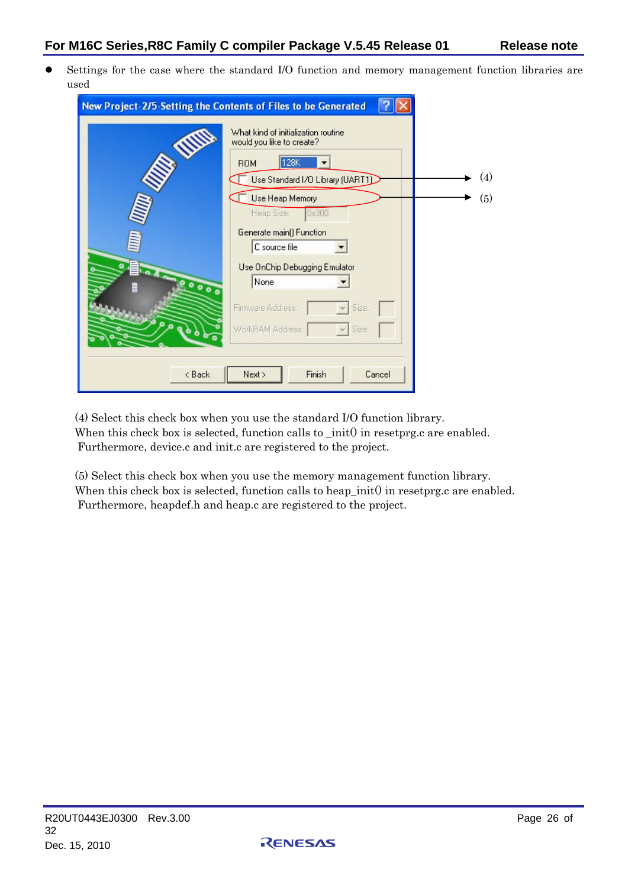z Settings for the case where the standard I/O function and memory management function libraries are used

|                                  | New Project-2/5-Setting the Contents of Files to be Generated                                                                                                                                                                                                                                                                                       |            |
|----------------------------------|-----------------------------------------------------------------------------------------------------------------------------------------------------------------------------------------------------------------------------------------------------------------------------------------------------------------------------------------------------|------------|
| <b>UNITED</b><br>00000<br>< Back | What kind of initialization routine<br>would you like to create?<br>128K<br><b>ROM</b><br>Use Standard I/O Library (UART1)<br>Use Heap Memory<br>0x300<br>Heap Sizet<br>Generate main() Function<br>C source file<br>Use OnChip Debugging Emulator<br>None<br>Firmware Address:<br>Size:<br>WorkRAM Address:<br>Size:<br>Finish<br>Next ><br>Cancel | (4)<br>(5) |
|                                  |                                                                                                                                                                                                                                                                                                                                                     |            |

(4) Select this check box when you use the standard I/O function library. When this check box is selected, function calls to \_init() in resetprg.c are enabled. Furthermore, device.c and init.c are registered to the project.

(5) Select this check box when you use the memory management function library. When this check box is selected, function calls to heap\_init( $\theta$  in resetprg.c are enabled. Furthermore, heapdef.h and heap.c are registered to the project.

RENESAS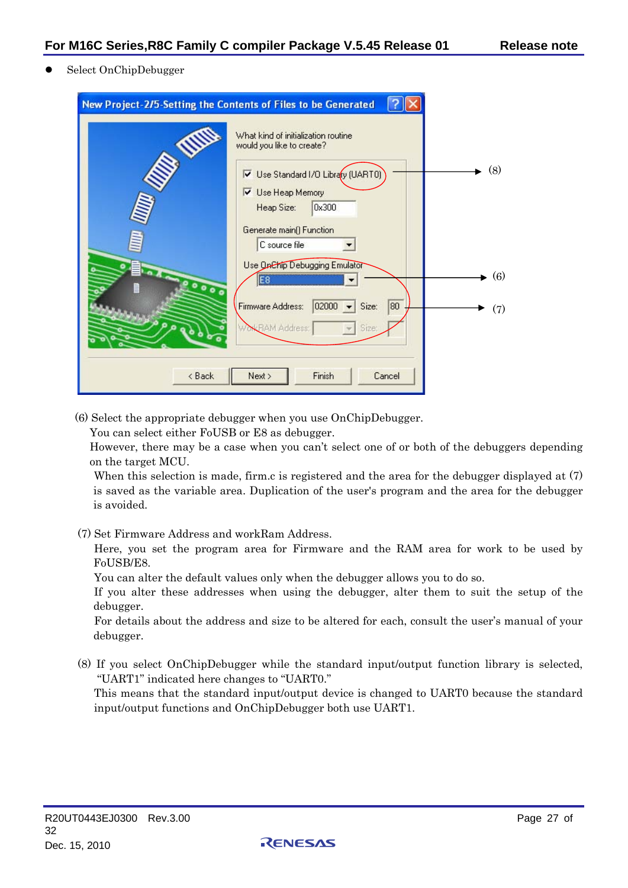Select OnChipDebugger

| New Project-2/5-Setting the Contents of Files to be Generated                                                                                                                                                                                                                                                                                       |                             |
|-----------------------------------------------------------------------------------------------------------------------------------------------------------------------------------------------------------------------------------------------------------------------------------------------------------------------------------------------------|-----------------------------|
| <b>ANNIS</b><br>What kind of initialization routine<br>would you like to create?<br>Use Standard I/O Library (UART0)<br><b>V</b> Use Heap Memory<br>0x300<br>Heap Size:<br>Generate main() Function<br>C source file<br>Use On Chip Debugging Emulator<br>E8<br>0000<br>80<br>02000<br>Firmware Address:<br>Size:<br><b>NCRAM Address:</b><br>Size: | (8)<br>$\bullet$ (6)<br>(7) |
| Finish<br>< Back<br>Next ><br>Cancel                                                                                                                                                                                                                                                                                                                |                             |

(6) Select the appropriate debugger when you use OnChipDebugger.

You can select either FoUSB or E8 as debugger.

However, there may be a case when you can't select one of or both of the debuggers depending on the target MCU.

When this selection is made, firm.c is registered and the area for the debugger displayed at  $(7)$ is saved as the variable area. Duplication of the user's program and the area for the debugger is avoided.

(7) Set Firmware Address and workRam Address.

Here, you set the program area for Firmware and the RAM area for work to be used by FoUSB/E8.

You can alter the default values only when the debugger allows you to do so.

If you alter these addresses when using the debugger, alter them to suit the setup of the debugger.

For details about the address and size to be altered for each, consult the user's manual of your debugger.

(8) If you select OnChipDebugger while the standard input/output function library is selected, "UART1" indicated here changes to "UART0."

This means that the standard input/output device is changed to UART0 because the standard input/output functions and OnChipDebugger both use UART1.

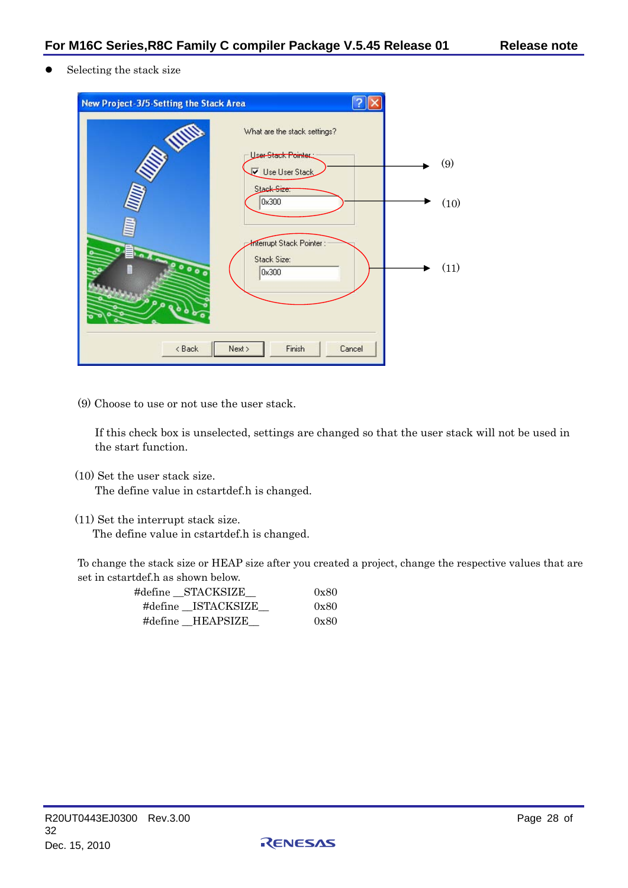Selecting the stack size

| New Project-3/5-Setting the Stack Area |                                                                                                                          |             |
|----------------------------------------|--------------------------------------------------------------------------------------------------------------------------|-------------|
| WITH<br>$\bullet$                      | What are the stack settings?<br>User-Stack Pointer<br>Use User Stack<br>Stack-Size:<br>0x300<br>Interrupt Stack Pointer: | (9)<br>(10) |
| 00000<br>۰<br>< Back                   | Stack Size:<br>0x300<br>Finish<br>Next ><br>Cancel                                                                       | (11)        |

(9) Choose to use or not use the user stack.

If this check box is unselected, settings are changed so that the user stack will not be used in the start function.

(10) Set the user stack size.

The define value in cstartdef.h is changed.

(11) Set the interrupt stack size.

The define value in cstartdef.h is changed.

To change the stack size or HEAP size after you created a project, change the respective values that are set in cstartdef.h as shown below.

RENESAS

| #define STACKSIZE  | 0x80 |
|--------------------|------|
| #define ISTACKSIZE | 0x80 |
| #define HEAPSIZE   | 0x80 |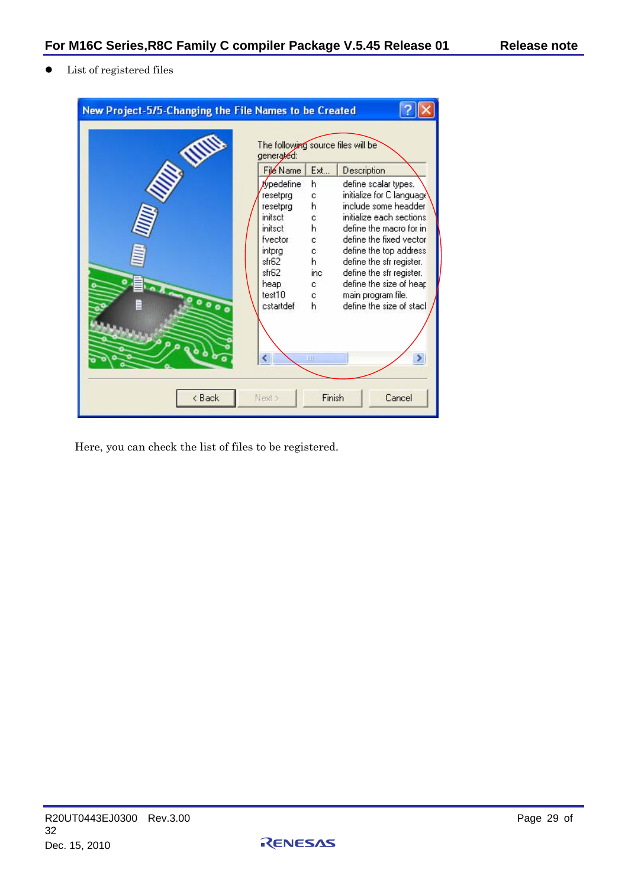$\bullet$  List of registered files

| New Project-5/5-Changing the File Names to be Created |                                                                                                                                                                                                        |                                                                           |                                                                                                                                                                                                                                                                                                                                           |  |
|-------------------------------------------------------|--------------------------------------------------------------------------------------------------------------------------------------------------------------------------------------------------------|---------------------------------------------------------------------------|-------------------------------------------------------------------------------------------------------------------------------------------------------------------------------------------------------------------------------------------------------------------------------------------------------------------------------------------|--|
| 000                                                   | The following source files will be<br>generated:<br>File Name<br><b>Aypedefine</b><br>resetprg<br>resetprg<br>initset<br>initsct<br>fvector<br>intprg<br>sfr62<br>sfr62<br>heap<br>test10<br>cstartdef | Ext<br>h<br>c.<br>h<br>c.<br>h<br>c<br>ċ<br>h<br>inc<br>c.<br>ċ<br>h<br>Ш | Description<br>define scalar types.<br>initialize for C language<br>include some headder<br>initialize each sections<br>define the macro for in<br>define the fixed vector<br>define the top address<br>define the sfr register.<br>define the sfr register.<br>define the size of heap<br>main program file.<br>define the size of stacl |  |
| Finish<br>< Back<br>Cancel<br>Next >                  |                                                                                                                                                                                                        |                                                                           |                                                                                                                                                                                                                                                                                                                                           |  |

Here, you can check the list of files to be registered.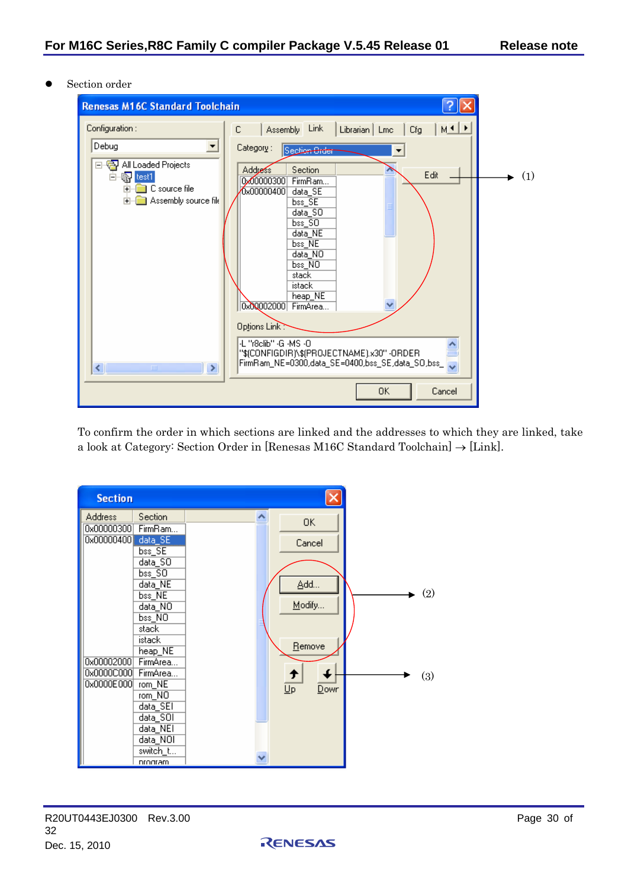Section order



To confirm the order in which sections are linked and the addresses to which they are linked, take a look at Category: Section Order in [Renesas M16C Standard Toolchain]  $\rightarrow$  [Link].



RENESAS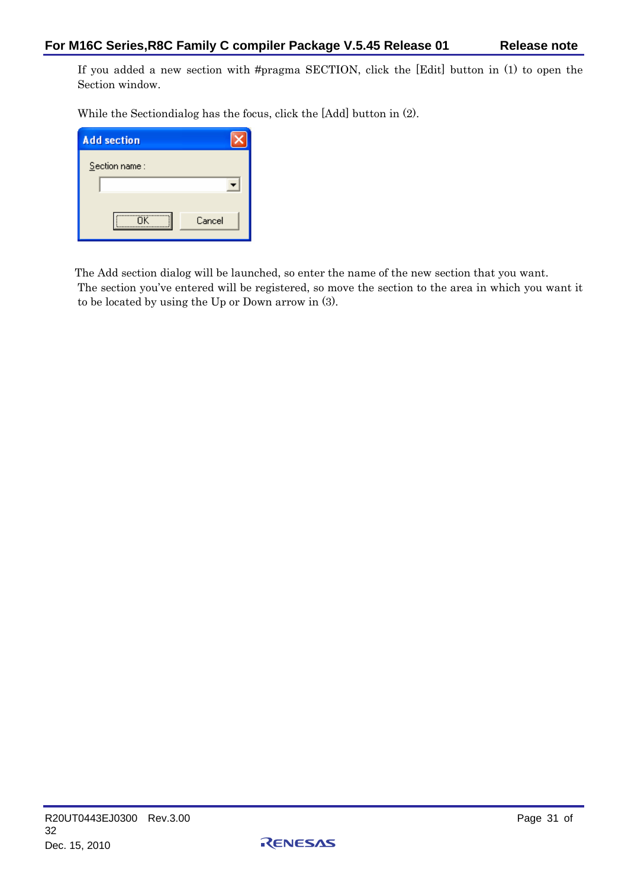If you added a new section with #pragma SECTION, click the [Edit] button in (1) to open the Section window.

While the Sectiondialog has the focus, click the [Add] button in (2).

| Cancel |
|--------|
|        |

The Add section dialog will be launched, so enter the name of the new section that you want. The section you've entered will be registered, so move the section to the area in which you want it to be located by using the Up or Down arrow in (3).

RENESAS